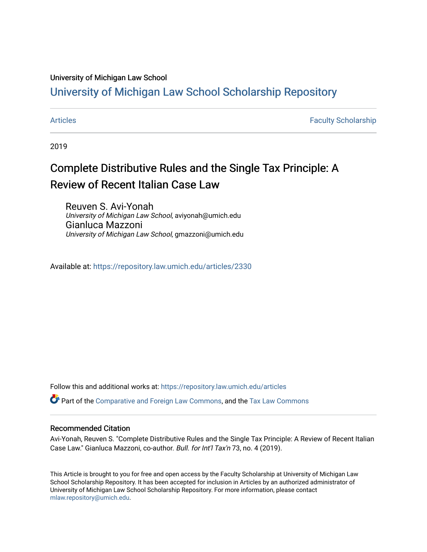#### University of Michigan Law School

#### [University of Michigan Law School Scholarship Repository](https://repository.law.umich.edu/)

[Articles](https://repository.law.umich.edu/articles) **Faculty Scholarship** Faculty Scholarship

2019

# Complete Distributive Rules and the Single Tax Principle: A Review of Recent Italian Case Law

Reuven S. Avi-Yonah University of Michigan Law School, aviyonah@umich.edu Gianluca Mazzoni University of Michigan Law School, gmazzoni@umich.edu

Available at: <https://repository.law.umich.edu/articles/2330>

Follow this and additional works at: [https://repository.law.umich.edu/articles](https://repository.law.umich.edu/articles?utm_source=repository.law.umich.edu%2Farticles%2F2330&utm_medium=PDF&utm_campaign=PDFCoverPages) 

Part of the [Comparative and Foreign Law Commons,](http://network.bepress.com/hgg/discipline/836?utm_source=repository.law.umich.edu%2Farticles%2F2330&utm_medium=PDF&utm_campaign=PDFCoverPages) and the [Tax Law Commons](http://network.bepress.com/hgg/discipline/898?utm_source=repository.law.umich.edu%2Farticles%2F2330&utm_medium=PDF&utm_campaign=PDFCoverPages)

#### Recommended Citation

Avi-Yonah, Reuven S. "Complete Distributive Rules and the Single Tax Principle: A Review of Recent Italian Case Law." Gianluca Mazzoni, co-author. Bull. for Int'l Tax'n 73, no. 4 (2019).

This Article is brought to you for free and open access by the Faculty Scholarship at University of Michigan Law School Scholarship Repository. It has been accepted for inclusion in Articles by an authorized administrator of University of Michigan Law School Scholarship Repository. For more information, please contact [mlaw.repository@umich.edu.](mailto:mlaw.repository@umich.edu)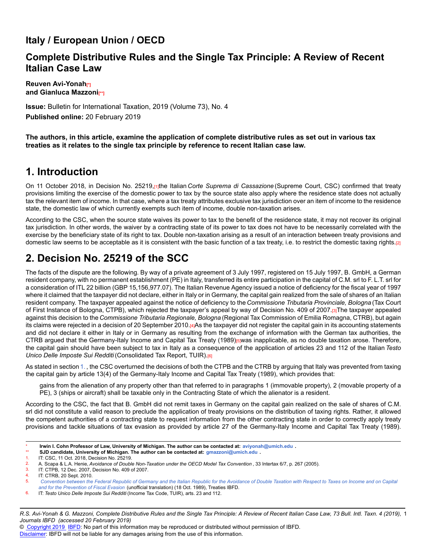#### **Italy / European Union / OECD**

#### **Complete Distributive Rules and the Single Tax Principle: A Review of Recent Italian Case Law**

**Reuven Avi-Yonah**<sup>n</sup> **and Gianluca Mazzoni[\*\*]**

**Issue:** Bulletin for International Taxation, 2019 (Volume 73), No. 4 **Published online:** 20 February 2019

**The authors, in this article, examine the application of complete distributive rules as set out in various tax treaties as it relates to the single tax principle by reference to recent Italian case law.**

### **1. Introduction**

On 11 October 2018, in Decision No. 25219,[1]the Italian *Corte Suprema di Cassazione* (Supreme Court, CSC) confirmed that treaty provisions limiting the exercise of the domestic power to tax by the source state also apply where the residence state does not actually tax the relevant item of income. In that case, where a tax treaty attributes exclusive tax jurisdiction over an item of income to the residence state, the domestic law of which currently exempts such item of income, double non-taxation arises.

According to the CSC, when the source state waives its power to tax to the benefit of the residence state, it may not recover its original tax jurisdiction. In other words, the waiver by a contracting state of its power to tax does not have to be necessarily correlated with the exercise by the beneficiary state of its right to tax. Double non-taxation arising as a result of an interaction between treaty provisions and domestic law seems to be acceptable as it is consistent with the basic function of a tax treaty, i.e. to restrict the domestic taxing rights.[2]

### **2. Decision No. 25219 of the SCC**

The facts of the dispute are the following. By way of a private agreement of 3 July 1997, registered on 15 July 1997, B. GmbH, a German resident company, with no permanent establishment (PE) in Italy, transferred its entire participation in the capital of C.M. srl to F. L.T. srl for a consideration of ITL 22 billion (GBP 15,156,977.07). The Italian Revenue Agency issued a notice of deficiency for the fiscal year of 1997 where it claimed that the taxpayer did not declare, either in Italy or in Germany, the capital gain realized from the sale of shares of an Italian resident company. The taxpayer appealed against the notice of deficiency to the *Commissione Tributaria Provinciale, Bologna* (Tax Court of First Instance of Bologna, CTPB), which rejected the taxpayer's appeal by way of Decision No. 409 of 2007.[3]The taxpayer appealed against this decision to the *Commissione Tributaria Regionale, Bologna* (Regional Tax Commission of Emilia Romagna, CTRB), but again its claims were rejected in a decision of 20 September 2010.[4]As the taxpayer did not register the capital gain in its accounting statements and did not declare it either in Italy or in Germany as resulting from the exchange of information with the German tax authorities, the CTRB argued that the Germany-Italy Income and Capital Tax Treaty (1989)<sub>[5]</sub>was inapplicable, as no double taxation arose. Therefore, the capital gain should have been subject to tax in Italy as a consequence of the application of articles 23 and 112 of the Italian *Testo Unico Delle Imposte Sui Redditi* (Consolidated Tax Report, TUIR).[6]

As stated in section [1.](http://dev-online.ibfd.org/kbase/#topic=doc&url=/linkresolver/static/bit_2019_04_it_1_s_1&WT.z_nav=crosslinks&hash=bit_2019_04_it_1_s_1), the CSC overturned the decisions of both the CTPB and the CTRB by arguing that Italy was prevented from taxing the capital gain by article 13(4) of the Germany-Italy Income and Capital Tax Treaty (1989), which provides that:

gains from the alienation of any property other than that referred to in paragraphs 1 (immovable property), 2 (movable property of a PE), 3 (ships or aircraft) shall be taxable only in the Contracting State of which the alienator is a resident.

According to the CSC, the fact that B. GmbH did not remit taxes in Germany on the capital gain realized on the sale of shares of C.M. srl did not constitute a valid reason to preclude the application of treaty provisions on the distribution of taxing rights. Rather, it allowed the competent authorities of a contracting state to request information from the other contracting state in order to correctly apply treaty provisions and tackle situations of tax evasion as provided by article 27 of the Germany-Italy Income and Capital Tax Treaty (1989).

6. IT: *Testo Unico Delle Imposte Sui Redditi* (Income Tax Code, TUIR), arts. 23 and 112.

© [Copyright 2019](http://www.ibfd.org/Copyright-IBFD) [IBFD:](http://www.ibfd.org) No part of this information may be reproduced or distributed without permission of IBFD.

<sup>\*</sup> **Irwin I. Cohn Professor of Law, University of Michigan. The author can be contacted at: <aviyonah@umich.edu> .**

<sup>\*\*</sup> **SJD candidate, University of Michigan. The author can be contacted at: <gmazzoni@umich.edu> .**

<sup>1.</sup> IT: CSC, 11 Oct. 2018, Decision No. 25219.<br>2. A Scapa & L.A. Henie, Avoidance of Double

<sup>2.</sup> A. Scapa & L.A. Henie, *Avoidance of Double Non-Taxation under the OECD Model Tax Convention* , 33 Intertax 6/7, p. 267 (2005).

<sup>3.</sup> IT: CTPB, 12 Dec. 2007, Decision No. 409 of 2007.

<sup>4.</sup> IT: CTRB, 20 Sept. 2010.<br>5. Convention between the

<sup>5.</sup> *[Convention between the Federal Republic of Germany and the Italian Republic for the Avoidance of Double Taxation with Respect to Taxes on Income and on Capital](http://dev-online.ibfd.org/kbase/#topic=doc&url=/linkresolver/static/tt_de-it_02_eng_1989_tt__td1&WT.z_nav=crosslinks&hash=tt_de-it_02_eng_1989_tt__td1) [and for the Prevention of Fiscal Evasion](http://dev-online.ibfd.org/kbase/#topic=doc&url=/linkresolver/static/tt_de-it_02_eng_1989_tt__td1&WT.z_nav=crosslinks&hash=tt_de-it_02_eng_1989_tt__td1)* (unofficial translation) (18 Oct. 1989), Treaties IBFD.

*R.S. Avi-Yonah & G. Mazzoni, Complete Distributive Rules and the Single Tax Principle: A Review of Recent Italian Case Law, 73 Bull. Intl. Taxn. 4 (2019),* 1 *Journals IBFD (accessed 20 February 2019)*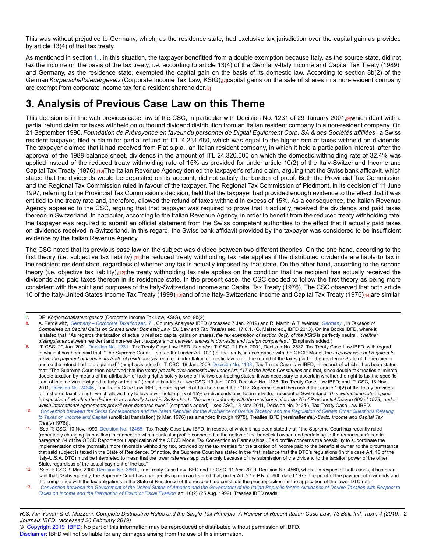This was without prejudice to Germany, which, as the residence state, had exclusive tax jurisdiction over the capital gain as provided by article 13(4) of that tax treaty.

As mentioned in section [1.](http://dev-online.ibfd.org/kbase/#topic=doc&url=/linkresolver/static/bit_2019_04_it_1_s_1&WT.z_nav=crosslinks&hash=bit_2019_04_it_1_s_1), in this situation, the taxpayer benefitted from a double exemption because Italy, as the source state, did not tax the income on the basis of the tax treaty, i.e. according to article 13(4) of the Germany-Italy Income and Capital Tax Treaty (1989), and Germany, as the residence state, exempted the capital gain on the basis of its domestic law. According to section 8b(2) of the German *Körperschaftsteuergesetz* (Corporate Income Tax Law, KStG),[7]capital gains on the sale of shares in a non-resident company are exempt from corporate income tax for a resident shareholder.[8]

### **3. Analysis of Previous Case Law on this Theme**

This decision is in line with previous case law of the CSC, in particular with Decision No. 1231 of 29 January 2001,[9]which dealt with a partial refund claim for taxes withheld on outbound dividend distribution from an Italian resident company to a non-resident company. On 21 September 1990, *Foundation de Prévoyance en faveur du personnel de Digital Equipment Corp. SA & des Sociétés affiliées* , a Swiss resident taxpayer, filed a claim for partial refund of ITL 4,231,680, which was equal to the higher rate of taxes withheld on dividends. The taxpayer claimed that it had received from Fiat s.p.a., an Italian resident company, in which it held a participation interest, after the approval of the 1988 balance sheet, dividends in the amount of ITL 24,320,000 on which the domestic withholding rate of 32.4% was applied instead of the reduced treaty withholding rate of 15% as provided for under article 10(2) of the Italy-Switzerland Income and Capital Tax Treaty (1976).[10]The Italian Revenue Agency denied the taxpayer's refund claim, arguing that the Swiss bank affidavit, which stated that the dividends would be deposited on its account, did not satisfy the burden of proof. Both the Provincial Tax Commission and the Regional Tax Commission ruled in favour of the taxpayer. The Regional Tax Commission of Piedmont, in its decision of 11 June 1997, referring to the Provincial Tax Commission's decision, held that the taxpayer had provided enough evidence to the effect that it was entitled to the treaty rate and, therefore, allowed the refund of taxes withheld in excess of 15%. As a consequence, the Italian Revenue Agency appealed to the CSC, arguing that that taxpayer was required to prove that it actually received the dividends and paid taxes thereon in Switzerland. In particular, according to the Italian Revenue Agency, in order to benefit from the reduced treaty withholding rate, the taxpayer was required to submit an official statement from the Swiss competent authorities to the effect that it actually paid taxes on dividends received in Switzerland. In this regard, the Swiss bank affidavit provided by the taxpayer was considered to be insufficient evidence by the Italian Revenue Agency.

The CSC noted that its previous case law on the subject was divided between two different theories. On the one hand, according to the first theory (i.e. subjective tax liability),<sub>[11]</sub>the reduced treaty withholding tax rate applies if the distributed dividends are liable to tax in the recipient resident state, regardless of whether any tax is actually imposed by that state. On the other hand, according to the second theory (i.e. objective tax liability), $\frac{1}{2}$ ; the treaty withholding tax rate applies on the condition that the recipient has actually received the dividends and paid taxes thereon in its residence state. In the present case, the CSC decided to follow the first theory as being more consistent with the spirit and purposes of the Italy-Switzerland Income and Capital Tax Treaty (1976). The CSC observed that both article 10 of the Italy-United States Income Tax Treaty (1999)[13]and of the Italy-Switzerland Income and Capital Tax Treaty (1976)[14]are similar,

#### *R.S. Avi-Yonah & G. Mazzoni, Complete Distributive Rules and the Single Tax Principle: A Review of Recent Italian Case Law, 73 Bull. Intl. Taxn. 4 (2019),* 2 *Journals IBFD (accessed 20 February 2019)*

© [Copyright 2019](http://www.ibfd.org/Copyright-IBFD) [IBFD:](http://www.ibfd.org) No part of this information may be reproduced or distributed without permission of IBFD.

<sup>7.</sup> DE: *Körperschaftsteuergesetz* (Corporate Income Tax Law, KStG), sec. 8b(2).

<sup>8.</sup> A. Perdelwitz, *[Germany – Corporate Taxation](http://dev-online.ibfd.org/kbase/#topic=doc&url=/linkresolver/static/cta_de_s_007&WT.z_nav=crosslinks&hash=cta_de_s_007)* sec. 7. , Country Analyses IBFD (accessed 7 Jan. 2019) and R. Martini & T. Weimar, *[Germany](http://dev-online.ibfd.org/kbase/#topic=doc&url=/linkresolver/static/tccg_p06_c17&WT.z_nav=crosslinks&hash=tccg_p06_c17)* , in *Taxation of Companies on Capital Gains on Shares under Domestic Law, EU Law and Tax Treaties* sec. 17.6.1. (G. Maisto ed., IBFD 2013), Online Books IBFD, where it is stated that: "As regards the taxation of actually realized capital gains on shares, *the tax exemption of section 8b(2) of the KStG* is perfectly neutral. It *neither distinguishes* between resident and non-resident taxpayers nor *between shares in domestic and foreign companies* ." (Emphasis added.)

<sup>9.</sup> IT: CSC, 29 Jan. 2001, [Decision No. 1231](http://dev-online.ibfd.org/kbase/#topic=doc&url=/linkresolver/static/cl_it_2001-01-29_1&WT.z_nav=crosslinks&hash=cl_it_2001-01-29_1) , Tax Treaty Case Law IBFD. *See also* IT: CSC, 21 Feb. 2001, Decision No. 2532, Tax Treaty Case Law IBFD, with regard to which it has been said that: "The Supreme Court … stated that under Art. 10(2) of the treaty, in accordance with the OECD Model, the *taxpayer was not required to prove the payment of taxes in its State of residence* (as required under Italian domestic law to get the refund of the taxes paid in the residence State of the recipient) and so the refund had to be granted)" (emphasis added); IT: CSC, 19 Jan. 2009, [Decision No. 1138](http://dev-online.ibfd.org/kbase/#topic=doc&url=/linkresolver/static/cl_it_2009-01-19_1&WT.z_nav=crosslinks&hash=cl_it_2009-01-19_1), Tax Treaty Case Law IBFD, in respect of which it has been stated that: "The Supreme Court then observed that the *treaty prevails over domestic law under Art. 117 of the Italian Constitution* and that, since double tax treaties eliminate double taxation by means of the attribution of taxing rights solely to one of the two contracting states, it was necessary to ascertain whether the right to tax the specific item of income was assigned to Italy or Ireland" (emphasis added) – *see* CSC, 19 Jan. 2009, Decision No. 1138, Tax Treaty Case Law IBFD; and IT: CSC, 18 Nov. 2011, [Decision No. 24246](http://dev-online.ibfd.org/kbase/#topic=doc&url=/linkresolver/static/cl_it_2011-11-18_1&WT.z_nav=crosslinks&hash=cl_it_2011-11-18_1) , Tax Treaty Case Law IBFD, regarding which it has been said that: "The Supreme Court then noted that article 10(2) of the treaty provides for a shared taxation right which allows Italy to levy a withholding tax of 15% on dividends paid to an individual resident of Switzerland. *This withholding rate applies irrespective of whether the dividends are actually taxed in Switzerland* . *This is in conformity with the provisions of article 75 of Presidential Decree 600 of 1973, under which international agreements prevail over domestic rules* " (emphasis added) – *see* CSC, 18 Nov. 2011, Decision No. 24246, Tax Treaty Case Law IBFD.

<sup>10.</sup> *[Convention between the Swiss Confederation and the Italian Republic for the Avoidance of Double Taxation and the Regulation of Certain Other Questions Relating](http://dev-online.ibfd.org/kbase/#topic=doc&url=/linkresolver/static/tt_it-ch_02_eng_1976_tt__td2&WT.z_nav=crosslinks&hash=tt_it-ch_02_eng_1976_tt__td2) [to Taxes on Income and Capital](http://dev-online.ibfd.org/kbase/#topic=doc&url=/linkresolver/static/tt_it-ch_02_eng_1976_tt__td2&WT.z_nav=crosslinks&hash=tt_it-ch_02_eng_1976_tt__td2)* (unofficial translation) (9 Mar. 1976) (as amended through 1978), Treaties IBFD [hereinafter *Italy-Switz. Income and Capital Tax Treaty* (1976)].

<sup>11.</sup> *See* IT: CSC, 10 Nov. 1999, [Decision No. 12458](http://dev-online.ibfd.org/kbase/#topic=doc&url=/linkresolver/static/cl_it_1999-11-10_1&WT.z_nav=crosslinks&hash=cl_it_1999-11-10_1) , Tax Treaty Case Law IBFD, in respect of which it has been stated that: "the Supreme Court has recently ruled (repeatedly changing its position) in connection with a particular profile connected to the notion of the beneficial owner, and pertaining to the remarks surfaced in paragraph 54 of the OECD Report about 'application of the OECD Model Tax Convention to Partnerships'. Said profile concerns the possibility to subordinate the implementation of the (normally) more favorable withholding tax, provided by the tax treaties for the taxation of income paid to the beneficial owner, to the circumstance that said subject is taxed in the State of Residence. Of notice, the Supreme Court has stated in the first instance that the DTC's regulations (in this case Art. 10 of the Italy-U.S.A. DTC) must be interpreted to mean that the lower rate was applicable only because of the submission of the dividend to the taxation power of the other State, regardless of the actual payment of the tax."

<sup>12.</sup> *See* IT: CSC, 9 Mar. 2000, [Decision No. 3861](http://dev-online.ibfd.org/kbase/#topic=doc&url=/linkresolver/static/cl_it_2000_03_29_1&WT.z_nav=crosslinks&hash=cl_it_2000_03_29_1) , Tax Treaty Case Law IBFD and IT: CSC, 11 Apr. 2000, Decision No. 4560, where, in respect of both cases, it has been said that: "Subsequently, the Supreme Court has changed its opinion and stated that, under Art. 27 d.P.R. n. 600 dated 1973, the proof of the payment of dividends and the compliance with the tax obligations in the State of Residence of the recipient, do constitute the presupposition for the application of the lower DTC rate."

<sup>13.</sup> *[Convention between the Government of the United States of America and the Government of the Italian Republic for the Avoidance of Double Taxation with Respect to](http://dev-online.ibfd.org/kbase/#topic=doc&url=/linkresolver/static/tt_it-us_01_eng_1999_tt__td1&WT.z_nav=crosslinks&hash=tt_it-us_01_eng_1999_tt__td1) [Taxes on Income and the Prevention of Fraud or Fiscal Evasion](http://dev-online.ibfd.org/kbase/#topic=doc&url=/linkresolver/static/tt_it-us_01_eng_1999_tt__td1&WT.z_nav=crosslinks&hash=tt_it-us_01_eng_1999_tt__td1)* art. 10(2) (25 Aug. 1999), Treaties IBFD reads: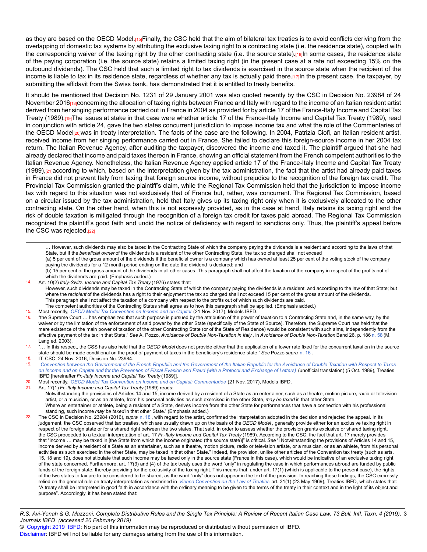as they are based on the OECD Model.[15]Finally, the CSC held that the aim of bilateral tax treaties is to avoid conflicts deriving from the overlapping of domestic tax systems by attributing the exclusive taxing right to a contracting state (i.e. the residence state), coupled with the corresponding waiver of the taxing right by the other contracting state (i.e. the source state).[16]In some cases, the residence state of the paying corporation (i.e. the source state) retains a limited taxing right (in the present case at a rate not exceeding 15% on the outbound dividends). The CSC held that such a limited right to tax dividends is exercised in the source state when the recipient of the income is liable to tax in its residence state, regardless of whether any tax is actually paid there.[17]In the present case, the taxpayer, by submitting the affidavit from the Swiss bank, has demonstrated that it is entitled to treaty benefits.

It should be mentioned that Decision No. 1231 of 29 January 2001 was also quoted recently by the CSC in Decision No. 23984 of 24 November 2016<sub>[18]</sub>concerning the allocation of taxing rights between France and Italy with regard to the income of an Italian resident artist derived from her singing performance carried out in France in 2004 as provided for by article 17 of the France-Italy Income and Capital Tax Treaty (1989).[19]The issues at stake in that case were whether article 17 of the France-Italy Income and Capital Tax Treaty (1989), read in conjunction with article 24, gave the two states concurrent jurisdiction to impose income tax and what the role of the Commentaries of the OECD Model<sub>[20]</sub>was in treaty interpretation. The facts of the case are the following. In 2004, Patrizia Ciofi, an Italian resident artist, received income from her singing performance carried out in France. She failed to declare this foreign-source income in her 2004 tax return. The Italian Revenue Agency, after auditing the taxpayer, discovered the income and taxed it. The plaintiff argued that she had already declared that income and paid taxes thereon in France, showing an official statement from the French competent authorities to the Italian Revenue Agency. Nonetheless, the Italian Revenue Agency applied article 17 of the France-Italy Income and Capital Tax Treaty (1989),[21]according to which, based on the interpretation given by the tax administration, the fact that the artist had already paid taxes in France did not prevent Italy from taxing that foreign source income, without prejudice to the recognition of the foreign tax credit. The Provincial Tax Commission granted the plaintiff's claim, while the Regional Tax Commission held that the jurisdiction to impose income tax with regard to this situation was not exclusively that of France but, rather, was concurrent. The Regional Tax Commission, based on a circular issued by the tax administration, held that Italy gives up its taxing right only when it is exclusively allocated to the other contracting state. On the other hand, when this is not expressly provided, as in the case at hand, Italy retains its taxing right and the risk of double taxation is mitigated through the recognition of a foreign tax credit for taxes paid abroad. The Regional Tax Commission recognized the plaintiff's good faith and undid the notice of deficiency with regard to sanctions only. Thus, the plaintiff's appeal before the CSC was rejected.<sup>[22]</sup>

… However, such dividends may also be taxed in the Contracting State of which the company paying the dividends is a resident and according to the laws of that State, but if the *beneficial owner* of the dividends is a resident of the other Contracting State, the tax so charged shall not exceed (a) 5 per cent of the gross amount of the dividends if the beneficial owner is a company which has owned at least 25 per cent of the voting stock of the company paying the dividends for a 12 month period ending on the date the dividend is declared; and (b) 15 per cent of the gross amount of the dividends in all other cases. This paragraph shall not affect the taxation of the company in respect of the profits out of which the dividends are paid. (Emphasis added.)

- 14. Art. 10(2) *Italy-Switz. Income and Capital Tax Treaty* (1976) states that:
	- However, such dividends may be taxed in the Contracting State of which the company paying the dividends is a resident, and according to the law of that State; but where the *recipient* of the dividends has a right to their enjoyment the tax so charged shall not exceed 15 per cent of the gross amount of the dividends. This paragraph shall not affect the taxation of a company with respect to the profits out of which such dividends are paid.
	- The competent authorities of the Contracting States shall agree as to how this paragraph shall be applied. (Emphasis added.)
- 
- 15. Most recently, *[OECD Model Tax Convention on Income and on Capital](http://dev-online.ibfd.org/kbase/#topic=doc&url=/linkresolver/static/&WT.z_nav=crosslinks&hash=)* (21 Nov. 2017), Models IBFD. 16. "the Supreme Court … has emphasized that such purpose is pursued by the attribution of the power of taxation to a Contracting State and, in the same way, by the waiver or by the limitation of the enforcement of said power by the other State (specifically of the State of Source). Therefore, the Supreme Court has held that the mere existence of the main power of taxation of the other Contracting State (or of the State of Residence) would be consistent with such aims, independently from the effective payment of the tax in that State." *See* A. Pozzo, *Avoidance of Double Non-Taxation in Italy* , in *Avoidance of Double Non-Taxation* Band 26, p. 186 [n. 58](http://dev-online.ibfd.org/kbase/#topic=doc&url=/linkresolver/static/bit_2019_04_it_1_fn_58&WT.z_nav=crosslinks&hash=bit_2019_04_it_1_fn_58) (M. Lang ed. 2003).
- 17. "… In this respect, the CSS has also held that the *OECD Model* does not provide either that the application of a lower rate fixed for the concurrent taxation in the source state should be made conditional on the proof of payment of taxes in the beneficiary's residence state." *See* Pozzo *supra* [n. 16](http://dev-online.ibfd.org/kbase/#topic=doc&url=/linkresolver/static/bit_2019_04_it_1_fn_16&WT.z_nav=crosslinks&hash=bit_2019_04_it_1_fn_16) .

18. IT: CSC, 24 Nov. 2016, Decision No. 23984.<br>19. Convention between the Government of the

- 19. *[Convention between the Government of the French Republic and the Government of the Italian Republic for the Avoidance of Double Taxation with Respect to Taxes](http://dev-online.ibfd.org/kbase/#topic=doc&url=/linkresolver/static/tt_fr-it_02_eng_1989_tt__td1&WT.z_nav=crosslinks&hash=tt_fr-it_02_eng_1989_tt__td1) [on Income and on Capital and for the Prevention of Fiscal Evasion and Fraud \(with a Protocol and Exchange of Letters\)](http://dev-online.ibfd.org/kbase/#topic=doc&url=/linkresolver/static/tt_fr-it_02_eng_1989_tt__td1&WT.z_nav=crosslinks&hash=tt_fr-it_02_eng_1989_tt__td1)* (unofficial translation) (5 Oct. 1989), Treaties IBFD [hereinafter *Fr.-Italy Income and Capital Tax Treaty* (1989)].
- 20. Most recently, *[OECD Model Tax Convention on Income and on Capital: Commentaries](http://dev-online.ibfd.org/kbase/#topic=doc&url=/linkresolver/static/tt_o2_02_eng_2017_mo__td2&WT.z_nav=crosslinks&hash=tt_o2_02_eng_2017_mo__td2)* (21 Nov. 2017), Models IBFD.
- 21. Art. 17(1) *Fr.-Italy Income and Capital Tax Treaty* (1989) reads:

Notwithstanding the provisions of Articles 14 and 15, income derived by a resident of a State as an entertainer, such as a theatre, motion picture, radio or television artist, or a musician, or as an athlete, from his personal activities as such exercised in the other State, *may be taxed* in that other State. Where an entertainer or athlete, being a resident of a State, derives income from the other State for performances that have a connection with his professional

standing, such income *may be taxed* in that other State.' (Emphasis added.)

<sup>22.</sup> The CSC in Decision No. 23984 (2016), *supra* [n. 18](http://dev-online.ibfd.org/kbase/#topic=doc&url=/linkresolver/static/bit_2019_04_it_1_fn_18&WT.z_nav=crosslinks&hash=bit_2019_04_it_1_fn_18) , with regard to the artist, confirmed the interpretation adopted in the decision and rejected the appeal. In its judgement, the CSC observed that tax treaties, which are usually drawn up on the basis of the *OECD Model* , generally provide either for an exclusive taxing right in respect of the foreign state or for a shared right between the two states. That said, in order to assess whether the provision grants exclusive or shared taxing right, the CSC proceeded to a textual interpretation of art. 17 *Fr.-Italy Income and Capital Tax Treaty* (1989). According to the CSC, the fact that art. 17 merely provides that "income … may be taxed in [the State from which the income originated (the source state)]" is critical. *See* "i Notwithstanding the provisions of Articles 14 and 15, income derived by a resident of a State as an entertainer, such as a theatre, motion picture, radio or television artiste, or a musician, or as an athlete, from his personal activities as such exercised in the other State, may be taxed in that other State." Indeed, the provision, unlike other articles of the Convention tax treaty (such as arts. 15, 18 and 19), does not stipulate that such income may be taxed only in the source state (France in this case), which would be indicative of an exclusive taxing right of the state concerned. Furthermore, art. 17(3) and (4) of the tax treaty uses the word "only" in regulating the case in which performances abroad are funded by public funds of the foreign state, thereby providing for the exclusivity of the taxing right. This means that, under art. 17(1) (which is applicable to the present case), the rights of the two states to tax are to be considered to be shared, as the word "only" does not appear in the text of the provision. In reaching these findings, the CSC expressly relied on the general rule on treaty interpretation as enshrined in *[Vienna Convention on the Law of Treaties](http://dev-online.ibfd.org/kbase/#topic=doc&url=/linkresolver/static/tt_u2_75_eng_1969_tt&WT.z_nav=crosslinks&hash=tt_u2_75_eng_1969_tt)* art. 31(1) (23 May 1969), Treaties IBFD, which states that: "A treaty shall be interpreted in good faith in accordance with the ordinary meaning to be given to the terms of the treaty in their context and in the light of its object and purpose". Accordingly, it has been stated that:

*R.S. Avi-Yonah & G. Mazzoni, Complete Distributive Rules and the Single Tax Principle: A Review of Recent Italian Case Law, 73 Bull. Intl. Taxn. 4 (2019),* 3 *Journals IBFD (accessed 20 February 2019)*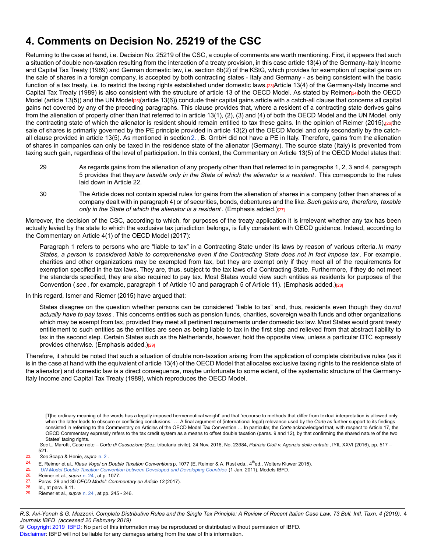### **4. Comments on Decision No. 25219 of the CSC**

Returning to the case at hand, i.e. Decision No. 25219 of the CSC, a couple of comments are worth mentioning. First, it appears that such a situation of double non-taxation resulting from the interaction of a treaty provision, in this case article 13(4) of the Germany-Italy Income and Capital Tax Treaty (1989) and German domestic law, i.e. section 8b(2) of the KStG, which provides for exemption of capital gains on the sale of shares in a foreign company, is accepted by both contracting states - Italy and Germany - as being consistent with the basic function of a tax treaty, i.e. to restrict the taxing rights established under domestic laws.[23]Article 13(4) of the Germany-Italy Income and Capital Tax Treaty (1989) is also consistent with the structure of article 13 of the OECD Model. As stated by Reimer[24]both the OECD Model (article 13(5)) and the UN Model<sub>[25]</sub>(article 13(6)) conclude their capital gains article with a catch-all clause that concerns all capital gains not covered by any of the preceding paragraphs. This clause provides that, where a resident of a contracting state derives gains from the alienation of property other than that referred to in article 13(1), (2), (3) and (4) of both the OECD Model and the UN Model, only the contracting state of which the alienator is resident should remain entitled to tax these gains. In the opinion of Reimer (2015),[26]the sale of shares is primarily governed by the PE principle provided in article 13(2) of the OECD Model and only secondarily by the catchall clause provided in article 13(5). As mentioned in section [2.](http://dev-online.ibfd.org/kbase/#topic=doc&url=/linkresolver/static/bit_2019_04_it_1_s_2&WT.z_nav=crosslinks&hash=bit_2019_04_it_1_s_2) , B. GmbH did not have a PE in Italy. Therefore, gains from the alienation of shares in companies can only be taxed in the residence state of the alienator (Germany). The source state (Italy) is prevented from taxing such gain, regardless of the level of participation. In this context, the Commentary on Article 13(5) of the OECD Model states that:

- 29 As regards gains from the alienation of any property other than that referred to in paragraphs 1, 2, 3 and 4, paragraph 5 provides that they *are taxable only in the State of which the alienator is a resident* . This corresponds to the rules laid down in Article 22.
- 30 The Article does not contain special rules for gains from the alienation of shares in a company (other than shares of a company dealt with in paragraph 4) or of securities, bonds, debentures and the like.*Such gains are, therefore, taxable only in the State of which the alienator is a resident* . (Emphasis added.)[27]

Moreover, the decision of the CSC, according to which, for purposes of the treaty application it is irrelevant whether any tax has been actually levied by the state to which the exclusive tax jurisdiction belongs, is fully consistent with OECD guidance. Indeed, according to the Commentary on Article 4(1) of the OECD Model (2017):

Paragraph 1 refers to persons who are "liable to tax" in a Contracting State under its laws by reason of various criteria. *In many States, a person is considered liable to comprehensive even if the Contracting State does not in fact impose tax* . For example, charities and other organizations may be exempted from tax, but they are exempt only if they meet all of the requirements for exemption specified in the tax laws. They are, thus, subject to the tax laws of a Contracting State. Furthermore, if they do not meet the standards specified, they are also required to pay tax. Most States would view such entities as residents for purposes of the Convention ( see, for example, paragraph 1 of Article 10 and paragraph 5 of Article 11). (Emphasis added.)<sub>[28]</sub>

In this regard, Ismer and Riemer (2015) have argued that:

States disagree on the question whether persons can be considered "liable to tax" and, thus, residents even though they do *not actually have to pay taxes* . This concerns entities such as pension funds, charities, sovereign wealth funds and other organizations which may be exempt from tax, provided they meet all pertinent requirements under domestic tax law. Most States would grant treaty entitlement to such entities as the entities are seen as being liable to tax in the first step and relieved from that abstract liability to tax in the second step. Certain States such as the Netherlands, however, hold the opposite view, unless a particular DTC expressly provides otherwise. (Emphasis added.)[29]

Therefore, it should be noted that such a situation of double non-taxation arising from the application of complete distributive rules (as it is in the case at hand with the equivalent of article 13(4) of the OECD Model that allocates exclusive taxing rights to the residence state of the alienator) and domestic law is a direct consequence, maybe unfortunate to some extent, of the systematic structure of the Germany-Italy Income and Capital Tax Treaty (1989), which reproduces the OECD Model.

[T]he ordinary meaning of the words has a legally imposed hermeneutical weight' and that 'recourse to methods that differ from textual interpretation is allowed only when the latter leads to obscure or conflicting conclusions.' ... A final argument of (international legal) relevance used by the *Corte* as further support to its findings consisted in referring to the Commentary on Articles of the OECD Model Tax Convention … In particular, the *Corte* acknowledged that, with respect to Article 17, the OECD Commentary expressly refers to the tax credit system as a means to offset double taxation (paras. 9 and 12), by that confirming the shared nature of the two States' taxing rights.

*R.S. Avi-Yonah & G. Mazzoni, Complete Distributive Rules and the Single Tax Principle: A Review of Recent Italian Case Law, 73 Bull. Intl. Taxn. 4 (2019),* 4 *Journals IBFD (accessed 20 February 2019)*

*See* L. Marotti, Case note – *Corte di Cassazione* (Sez. tributaria civile), 24 Nov. 2016, No. 23984, *Patrizia Ciofi v. Agenzia delle entrate* , IYIL XXVI (2016), pp. 517 – 521.

<sup>23.</sup> *See* Scapa & Henie, *supra* [n. 2](http://dev-online.ibfd.org/kbase/#topic=doc&url=/linkresolver/static/bit_2019_04_it_1_fn_2&WT.z_nav=crosslinks&hash=bit_2019_04_it_1_fn_2) .

<sup>&</sup>lt;sup>24.</sup> E. Reimer et al., *Klaus Vogel on Double Taxation Conventions* p. 1077 (E. Reimer & A. Rust eds., 4<sup>th</sup>ed., Wolters Kluwer 2015).<br>25. LIN Model Double Taxation Convention between Developed and Developing Countries (1

<sup>25.</sup> *[UN Model Double Taxation Convention between Developed and Developing Countries](http://dev-online.ibfd.org/kbase/#topic=doc&url=/linkresolver/static/tt_u2_02_eng_2011_mo&WT.z_nav=crosslinks&hash=tt_u2_02_eng_2011_mo)* (1 Jan. 2011), Models IBFD.

<sup>26.</sup> Reimer et al., *supra* [n. 24](http://dev-online.ibfd.org/kbase/#topic=doc&url=/linkresolver/static/bit_2019_04_it_1_fn_24&WT.z_nav=crosslinks&hash=bit_2019_04_it_1_fn_24) , at p. 1077.

<sup>27.</sup> Paras. 29 and 30 *OECD Model: Commentary on Article 13* (2017).

 $28.$  Id., at para.  $8.11.$ <br>29. Riemer et al. sur

<sup>29.</sup> Riemer et al., *supra* [n. 24](http://dev-online.ibfd.org/kbase/#topic=doc&url=/linkresolver/static/bit_2019_04_it_1_fn_24&WT.z_nav=crosslinks&hash=bit_2019_04_it_1_fn_24) , at pp. 245 - 246.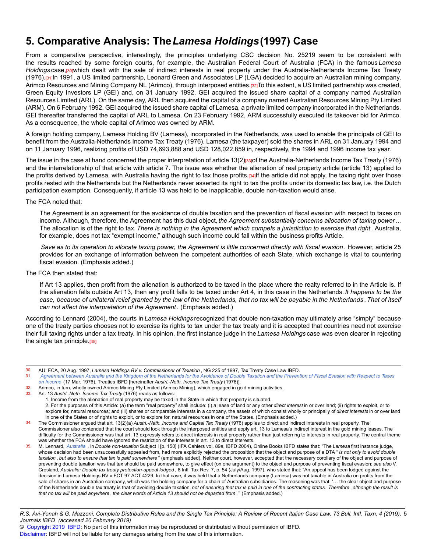### **5. Comparative Analysis: The***Lamesa Holdings***(1997) Case**

From a comparative perspective, interestingly, the principles underlying CSC decision No. 25219 seem to be consistent with the results reached by some foreign courts, for example, the Australian Federal Court of Australia (FCA) in the famous *Lamesa Holdings* case,[30]which dealt with the sale of indirect interests in real property under the Australia-Netherlands Income Tax Treaty (1976).[31]In 1991, a US limited partnership, Leonard Green and Associates LP (LGA) decided to acquire an Australian mining company, Arimco Resources and Mining Company NL (Arimco), through interposed entities.[32]To this extent, a US limited partnership was created, Green Equity Investors LP (GEI) and, on 31 January 1992, GEI acquired the issued share capital of a company named Australian Resources Limited (ARL). On the same day, ARL then acquired the capital of a company named Australian Resources Mining Pty Limited (ARM). On 6 February 1992, GEI acquired the issued share capital of Lamesa, a private limited company incorporated in the Netherlands. GEI thereafter transferred the capital of ARL to Lamesa. On 23 February 1992, ARM successfully executed its takeover bid for Arimco. As a consequence, the whole capital of Arimco was owned by ARM.

A foreign holding company, Lamesa Holding BV (Lamesa), incorporated in the Netherlands, was used to enable the principals of GEI to benefit from the Australia-Netherlands Income Tax Treaty (1976). Lamesa (the taxpayer) sold the shares in ARL on 31 January 1994 and on 11 January 1996, realizing profits of USD 74,693,888 and USD 128,022,859 in, respectively, the 1994 and 1996 income tax year.

The issue in the case at hand concerned the proper interpretation of article 13(2)[33] of the Australia-Netherlands Income Tax Treaty (1976) and the interrelationship of that article with article 7. The issue was whether the alienation of real property article (article 13) applied to the profits derived by Lamesa, with Australia having the right to tax those profits.[34]If the article did not apply, the taxing right over those profits rested with the Netherlands but the Netherlands never asserted its right to tax the profits under its domestic tax law, i.e. the Dutch participation exemption. Consequently, if article 13 was held to be inapplicable, double non-taxation would arise.

The FCA noted that:

The Agreement is an agreement for the avoidance of double taxation and the prevention of fiscal evasion with respect to taxes on income. Although, therefore, the Agreement has this dual object, *the Agreement substantially concerns allocation of taxing power*... The allocation is of the right to tax. *There is nothing in the Agreement which compels a jurisdiction to exercise that right* . Australia, for example, does not tax "exempt income," although such income could fall within the business profits Article.

*Save as to its operation to allocate taxing power, the Agreement is little concerned directly with fiscal evasion* . However, article 25 provides for an exchange of information between the competent authorities of each State, which exchange is vital to countering fiscal evasion. (Emphasis added.)

#### The FCA then stated that:

If Art 13 applies, then profit from the alienation is authorized to be taxed in the place where the realty referred to in the Article is. If the alienation falls outside Art 13, then any profit falls to be taxed under Art 4, in this case in the Netherlands. *It happens to be the case, because of unilateral relief granted by the law of the Netherlands, that no tax will be payable in the Netherlands* . *That of itself can not affect the interpretation of the Agreement* . (Emphasis added.)

According to Lennard (2004), the courts in *Lamesa Holdings* recognized that double non-taxation may ultimately arise "simply" because one of the treaty parties chooses not to exercise its rights to tax under the tax treaty and it is accepted that countries need not exercise their full taxing rights under a tax treaty. In his opinion, the first instance judge in the *Lamesa Holdings* case was even clearer in rejecting the single tax principle.[35]

- 32. Arimco, in turn, wholly owned Arimco Mining Pty Limited (Arimco Mining), which engaged in gold mining activities.<br>33. Art. 13 Austri-Neth Income Tax Treaty (1976) reads as follows:
- 33. Art. 13 *Austrl.-Neth. Income Tax Treaty* (1976) reads as follows:
	- 1. Income from the alienation of real property may be taxed in the State in which that property is situated.

2. For the purposes of this Article: (a) the term "real property" shall include: (i) a lease of land or any other *direct interest* in or over land; (ii) rights to exploit, or to explore for, natural resources; and (iii) shares or comparable interests in a company, the assets of which consist wholly or principally of *direct interests* in or over land in one of the States or of rights to exploit, or to explore for, natural resources in one of the States. (Emphasis added.)

- 34. The Commissioner argued that art. 13(2)(a) *Austrl.-Neth. Income and Capital Tax Treaty* (1976) applies to direct and indirect interests in real property. The Commissioner also contended that the court should look through the interposed entities and apply art. 13 to Lamesa's indirect interest in the gold mining leases. The difficulty for the Commissioner was that art. 13 expressly refers to direct interests in real property rather than just referring to interests in real property. The central theme was whether the FCA should have ignored the restriction of the interests in art. 13 to direct interests.
- 35. M. Lennard, *[Australia](http://dev-online.ibfd.org/kbase/#topic=doc&url=/linkresolver/static/ifacahier_2004_volume1_australia&WT.z_nav=crosslinks&hash=ifacahier_2004_volume1_australia)* , in *Double non-taxation* Subject I [p. 150] (IFA Cahiers vol. 89a, IBFD 2004), Online Books IBFD states that: "The *Lamesa* first instance judge, whose decision had been unsuccessfully appealed from, had more explicitly rejected the proposition that the object and purpose of a DTA " *is not only to avoid double taxation* , *but also to ensure that tax is paid somewhere* " (emphasis added). Neither court, however, accepted that the necessary corollary of the object and purpose of preventing double taxation was that tax should be paid somewhere, to give effect (on one argument) to the object and purpose of preventing fiscal evasion; *see also* V. Crosland, *Australia: Double tax treaty protection-appeal lodged* , 8 Intl. Tax Rev. 7, p. 54 (July/Aug. 1997), who stated that: "An appeal has been lodged against the decision in Lamesa Holdings BV v FCT 97 ACT 4229. In that case, it was held that a Netherlands company (Lamesa) was not taxable in Australia on profits from the sale of shares in an Australian company, which was the holding company for a chain of Australian subsidiaries. The reasoning was that: '... the clear object and purpose of the Netherlands double tax treaty is that of avoiding double taxation, *not of ensuring that tax is paid in one of the contracting states. Therefore* , *although the result is that no tax will be paid anywhere* , *the clear words of Article 13 should not be departed from* .'" (Emphasis added.)

*R.S. Avi-Yonah & G. Mazzoni, Complete Distributive Rules and the Single Tax Principle: A Review of Recent Italian Case Law, 73 Bull. Intl. Taxn. 4 (2019),* 5 *Journals IBFD (accessed 20 February 2019)*

© [Copyright 2019](http://www.ibfd.org/Copyright-IBFD) [IBFD:](http://www.ibfd.org) No part of this information may be reproduced or distributed without permission of IBFD.

<sup>30.</sup> AU: FCA, 20 Aug. 1997, *Lamesa Holdings BV v. Commissioner of Taxation* , NG 225 of 1997, Tax Treaty Case Law IBFD.

<sup>31.</sup> *[Agreement between Australia and the Kingdom of the Netherlands for the Avoidance of Double Taxation and the Prevention of Fiscal Evasion with Respect to Taxes](http://dev-online.ibfd.org/kbase/#topic=doc&url=/linkresolver/static/tt_au-nl_01_eng_1976_tt__td1&WT.z_nav=crosslinks&hash=tt_au-nl_01_eng_1976_tt__td1) [on Income](http://dev-online.ibfd.org/kbase/#topic=doc&url=/linkresolver/static/tt_au-nl_01_eng_1976_tt__td1&WT.z_nav=crosslinks&hash=tt_au-nl_01_eng_1976_tt__td1)* (17 Mar. 1976), Treaties IBFD [hereinafter *Austrl.-Neth. Income Tax Treaty* (1976)].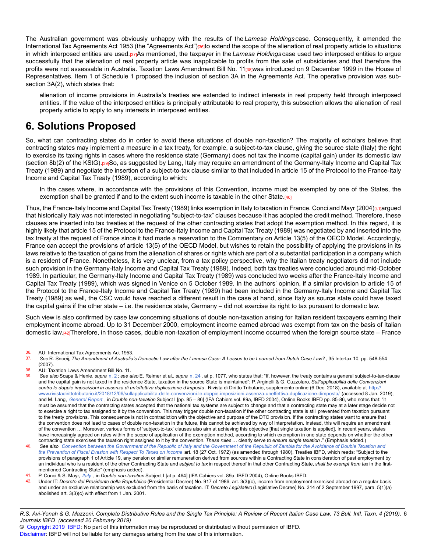The Australian government was obviously unhappy with the results of the *Lamesa Holdings* case. Consequently, it amended the International Tax Agreements Act 1953 (the "Agreements Act")<sup>[36]</sup>to extend the scope of the alienation of real property article to situations in which interposed entities are used.[37]As mentioned, the taxpayer in the *Lamesa Holdings* case used two interposed entities to argue successfully that the alienation of real property article was inapplicable to profits from the sale of subsidiaries and that therefore the profits were not assessable in Australia. Taxation Laws Amendment Bill No. 11<sub>[38]</sub>was introduced on 9 December 1999 in the House of Representatives. Item 1 of Schedule 1 proposed the inclusion of section 3A in the Agreements Act. The operative provision was subsection 3A(2), which states that:

alienation of income provisions in Australia's treaties are extended to indirect interests in real property held through interposed entities. If the value of the interposed entities is principally attributable to real property, this subsection allows the alienation of real property article to apply to any interests in interposed entities.

## **6. Solutions Proposed**

So, what can contracting states do in order to avoid these situations of double non-taxation? The majority of scholars believe that contracting states may implement a measure in a tax treaty, for example, a subject-to-tax clause, giving the source state (Italy) the right to exercise its taxing rights in cases where the residence state (Germany) does not tax the income (capital gain) under its domestic law (section 8b(2) of the KStG).[39]So, as suggested by Lang, Italy may require an amendment of the Germany-Italy Income and Capital Tax Treaty (1989) and negotiate the insertion of a subject-to-tax clause similar to that included in article 15 of the Protocol to the France-Italy Income and Capital Tax Treaty (1989), according to which:

In the cases where, in accordance with the provisions of this Convention, income must be exempted by one of the States, the exemption shall be granted if and to the extent such income is taxable in the other State. $[40]$ 

Thus, the France-Italy Income and Capital Tax Treaty (1989) links exemption in Italy to taxation in France. Conci and Mayr (2004)<sub>[41]</sub>argued that historically Italy was not interested in negotiating "subject-to-tax" clauses because it has adopted the credit method. Therefore, these clauses are inserted into tax treaties at the request of the other contracting states that adopt the exemption method. In this regard, it is highly likely that article 15 of the Protocol to the France-Italy Income and Capital Tax Treaty (1989) was negotiated by and inserted into the tax treaty at the request of France since it had made a reservation to the Commentary on Article 13(5) of the OECD Model. Accordingly, France can accept the provisions of article 13(5) of the OECD Model, but wishes to retain the possibility of applying the provisions in its laws relative to the taxation of gains from the alienation of shares or rights which are part of a substantial participation in a company which is a resident of France. Nonetheless, it is very unclear, from a tax policy perspective, why the Italian treaty negotiators did not include such provision in the Germany-Italy Income and Capital Tax Treaty (1989). Indeed, both tax treaties were concluded around mid-October 1989. In particular, the Germany-Italy Income and Capital Tax Treaty (1989) was concluded two weeks after the France-Italy Income and Capital Tax Treaty (1989), which was signed in Venice on 5 October 1989. In the authors' opinion, if a similar provision to article 15 of the Protocol to the France-Italy Income and Capital Tax Treaty (1989) had been included in the Germany-Italy Income and Capital Tax Treaty (1989) as well, the CSC would have reached a different result in the case at hand, since Italy as source state could have taxed the capital gains if the other state – i.e. the residence state, Germany – did not exercise its right to tax pursuant to domestic law.

Such view is also confirmed by case law concerning situations of double non-taxation arising for Italian resident taxpayers earning their employment income abroad. Up to 31 December 2000, employment income earned abroad was exempt from tax on the basis of Italian domestic law.[42]Therefore, in those cases, double non-taxation of employment income occurred when the foreign source state – France

<sup>36.</sup> AU: International Tax Agreements Act 1953.<br>37. See B. Spoeji, The Amendment of Australia

<sup>37.</sup> *See* R. Snoeij, *The Amendment of Australia's Domestic Law after the Lamesa Case: A Lesson to be Learned from Dutch Case Law?* , 35 Intertax 10, pp. 548-554 (2007).

<sup>38.</sup> AU: Taxation Laws Amendment Bill No. 11.<br>39. See also Scana & Henie, sunra n. 2 : see a

See also Scapa & Henie, *supra* [n. 2](http://dev-online.ibfd.org/kbase/#topic=doc&url=/linkresolver/static/bit_2019_04_it_1_fn_2&WT.z_nav=crosslinks&hash=bit_2019_04_it_1_fn_2); see also E. Reimer et al., *supra* [n. 24](http://dev-online.ibfd.org/kbase/#topic=doc&url=/linkresolver/static/bit_2019_04_it_1_fn_24&WT.z_nav=crosslinks&hash=bit_2019_04_it_1_fn_24), at p. 1077, who states that: "If, however, the treaty contains a general subject-to-tax-clause and the capital gain is not taxed in the residence State, taxation in the source State is maintained"; P. Arginelli & G. Cuzzolaro, *Sull'applicabilità delle Convenzioni contro le doppie imposizioni in assenza di un'effettiva duplicazione d'imposta* , Rivista di Diritto Tributario, supplemento online (6 Dec. 2018), available at [http:/](http://www.rivistadirittotributario.it/2018/12/06/sullapplicabilita-delle-convenzioni-le-doppie-imposizioni-assenza-uneffettiva-duplicazione-dimposta/)/ [www.rivistadirittotributario.it/2018/12/06/sullapplicabilita-delle-convenzioni-le-doppie-imposizioni-assenza-uneffettiva-duplicazione-dimposta/](http://www.rivistadirittotributario.it/2018/12/06/sullapplicabilita-delle-convenzioni-le-doppie-imposizioni-assenza-uneffettiva-duplicazione-dimposta/) (accessed 8 Jan. 2019); and M. Lang, *[General Report](http://dev-online.ibfd.org/kbase/#topic=doc&url=/linkresolver/static/ifacahier_2004_volume1_genreport&WT.z_nav=crosslinks&hash=ifacahier_2004_volume1_genreport)* , in *Double non-taxation* Subject I [pp. 85 – 86] (IFA Cahiers vol. 89a, IBFD 2004), Online Books IBFD pp. 85-86, who notes that: "it must be assumed that the contracting states accepted that the national tax systems are subject to change and that a contracting state may at a later stage decide not to exercise a right to tax assigned to it by the convention. This may trigger double non-taxation if the other contracting state is still prevented from taxation pursuant to the treaty provisions. This consequence is not in contradiction with the objective and purpose of the DTC provision. If the contracting states want to ensure that the convention does not lead to cases of double non-taxation in the future, this cannot be achieved by way of interpretation. Instead, this will require an amendment of the convention … Moreover, various forms of 'subject-to-tax' clauses also aim at achieving this objective [that single taxation is applied]. In recent years, states have increasingly agreed on rules within the scope of application of the exemption method, according to which exemption in one state depends on whether the other contracting state exercises the taxation right assigned to it by the convention. *These rules* … clearly *serve to ensure single taxation* ." (Emphasis added.)

<sup>40.</sup> *See also [Convention between the Government of the Republic of Italy and the Government of the Republic of Zambia for the Avoidance of Double Taxation and](http://dev-online.ibfd.org/kbase/#topic=doc&url=/linkresolver/static/tt_it-zm_01_eng_1972_tt__td1&WT.z_nav=crosslinks&hash=tt_it-zm_01_eng_1972_tt__td1) [the Prevention of Fiscal Evasion with Respect To Taxes on Income](http://dev-online.ibfd.org/kbase/#topic=doc&url=/linkresolver/static/tt_it-zm_01_eng_1972_tt__td1&WT.z_nav=crosslinks&hash=tt_it-zm_01_eng_1972_tt__td1)* art. 18 (27 Oct. 1972) (as amended through 1980), Treaties IBFD, which reads: "Subject to the provisions of paragraph 1 of Article 19, any pension or similar remuneration derived from sources within a Contracting State in consideration of past employment by an individual who is a resident of the other Contracting State and *subject to tax* in respect thereof in that other Contracting State, *shall be exempt from tax* in the firstmentioned Contracting State" (emphasis added).

<sup>41.</sup> P. Conci & S. Mayr, *[Italy](http://dev-online.ibfd.org/kbase/#topic=doc&url=/linkresolver/static/ifacahier_2004_volume1_italy&WT.z_nav=crosslinks&hash=ifacahier_2004_volume1_italy)* , in *Double non-taxation* Subject I [at p. 464] (IFA Cahiers vol. 89a, IBFD 2004), Online Books IBFD.

<sup>42.</sup> Under IT: *Decreto del Presidente della Repubblica* (Presidential Decree) No. 917 of 1986, art. 3(3)(c), income from employment exercised abroad on a regular basis and under an exclusive relationship was excluded from the basis of taxation. IT: Decreto Legislativo (Legislative Decree) No. 314 of 2 September 1997, para. 5(1)(a) abolished art. 3(3)(c) with effect from 1 Jan. 2001.

*R.S. Avi-Yonah & G. Mazzoni, Complete Distributive Rules and the Single Tax Principle: A Review of Recent Italian Case Law, 73 Bull. Intl. Taxn. 4 (2019),* 6 *Journals IBFD (accessed 20 February 2019)*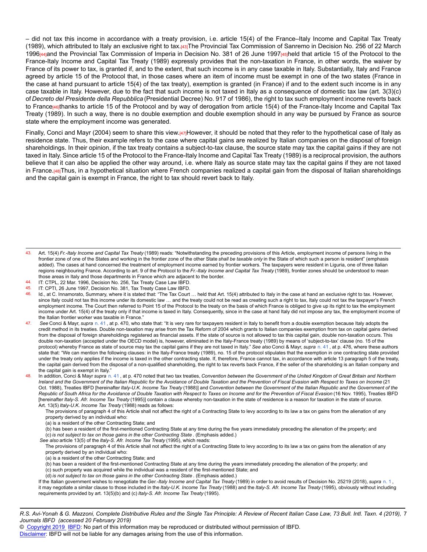– did not tax this income in accordance with a treaty provision, i.e. article 15(4) of the France–Italy Income and Capital Tax Treaty (1989), which attributed to Italy an exclusive right to tax.[43]The Provincial Tax Commission of Sanremo in Decision No. 256 of 22 March 1996<sub>[44]</sub>and the Provincial Tax Commission of Imperia in Decision No. 381 of 26 June 1997<sub>[45]</sub>held that article 15 of the Protocol to the France-Italy Income and Capital Tax Treaty (1989) expressly provides that the non-taxation in France, in other words, the waiver by France of its power to tax, is granted if, and to the extent, that such income is in any case taxable in Italy. Substantially, Italy and France agreed by article 15 of the Protocol that, in those cases where an item of income must be exempt in one of the two states (France in the case at hand pursuant to article 15(4) of the tax treaty), exemption is granted (in France) if and to the extent such income is in any case taxable in Italy. However, due to the fact that such income is not taxed in Italy as a consequence of domestic tax law (art. 3(3)(c) of *Decreto del Presidente della Repubblica* (Presidential Decree) No. 917 of 1986), the right to tax such employment income reverts back to France<sup>[46]</sup>thanks to article 15 of the Protocol and by way of derogation from article 15(4) of the France-Italy Income and Capital Tax Treaty (1989). In such a way, there is no double exemption and double exemption should in any way be pursued by France as source state where the employment income was generated.

Finally, Conci and Mayr (2004) seem to share this view.[47]However, it should be noted that they refer to the hypothetical case of Italy as residence state. Thus, their example refers to the case where capital gains are realized by Italian companies on the disposal of foreign shareholdings. In their opinion, if the tax treaty contains a subject-to-tax clause, the source state may tax the capital gains if they are not taxed in Italy. Since article 15 of the Protocol to the France-Italy Income and Capital Tax Treaty (1989) is a reciprocal provision, the authors believe that it can also be applied the other way around, i.e. where Italy as source state may tax the capital gains if they are not taxed in France.[48]Thus, in a hypothetical situation where French companies realized a capital gain from the disposal of Italian shareholdings and the capital gain is exempt in France, the right to tax should revert back to Italy.

(a) is a resident of the other Contracting State; and

- 
- (d) *is not subject to tax on those gains in the other Contracting State* . (Emphasis added.)

If the Italian government wishes to renegotiate the *Ger.-Italy Income and Capital Tax Treaty* (1989) in order to avoid results of Decision No. 25219 (2018), *supra* [n. 1](http://dev-online.ibfd.org/kbase/#topic=doc&url=/linkresolver/static/bit_2019_04_it_1_fn_1&WT.z_nav=crosslinks&hash=bit_2019_04_it_1_fn_1) , it may negotiate a similar clause to those included in the *Italy-U.K. Income Tax Treaty* (1988) and the *Italy-S. Afr. Income Tax Treaty* (1995), obviously without including requirements provided by art. 13(5)(b) and (c) *Italy-S. Afr. Income Tax Treaty* (1995).

*R.S. Avi-Yonah & G. Mazzoni, Complete Distributive Rules and the Single Tax Principle: A Review of Recent Italian Case Law, 73 Bull. Intl. Taxn. 4 (2019),* 7 *Journals IBFD (accessed 20 February 2019)*

© [Copyright 2019](http://www.ibfd.org/Copyright-IBFD) [IBFD:](http://www.ibfd.org) No part of this information may be reproduced or distributed without permission of IBFD.

<sup>43.</sup> Art. 15(4) *Fr.-Italy Income and Capital Tax Treaty* (1989) reads: "Notwithstanding the preceding provisions of this Article, employment income of persons living in the frontier zone of one of the States and working in the frontier zone of the other State *shall be taxable only* in the State of which such a person is resident" (emphasis added). The cases at hand concerned the treatment of employment income earned by frontier workers. The taxpayers were resident in Liguria, one of three Italian regions neighbouring France. According to art. 9 of the Protocol to the *Fr.-Italy Income and Capital Tax Treaty* (1989), frontier zones should be understood to mean those areas in Italy and those departments in France which are adjacent to the border.

<sup>44.</sup> IT: CTPL, 22 Mar. 1996, Decision No. 256, Tax Treaty Case Law IBFD.<br>45. IT: CPTL 26 June 1997, Decision No. 381, Tax Treaty Case Law IBFD.

<sup>45.</sup> IT: CPTI, 26 June 1997, Decision No. 381, Tax Treaty Case Law IBFD.<br>46. Id at C. Innamorato, Summary where it is stated that: "The Tax Court

Id., at C. Innamorato, Summary, where it is stated that: "The Tax Court ... held that Art. 15(4) attributed to Italy in the case at hand an exclusive right to tax. However, since Italy could not tax this income under its domestic law ... and the treaty could not be read as creating such a right to tax, Italy could not tax the taxpayer's French employment income. The Court then referred to Point 15 of the Protocol to the treaty on the basis of which France is obliged to give up its right to tax the employment income under Art. 15(4) of the treaty only if that income is taxed in Italy. Consequently, since in the case at hand Italy did not impose any tax, the employment income of the Italian frontier worker was taxable in France."

<sup>47.</sup> *See* Conci & Mayr, *supra* [n. 41](http://dev-online.ibfd.org/kbase/#topic=doc&url=/linkresolver/static/bit_2019_04_it_1_fn_41&WT.z_nav=crosslinks&hash=bit_2019_04_it_1_fn_41) , at p. 470, who state that: "It is very rare for taxpayers resident in Italy to benefit from a double exemption because Italy adopts the credit method in its treaties. Double non-taxation may arise from the Tax Reform of 2004 which grants to Italian companies exemption from tax on capital gains derived from the disposal of foreign shareholdings registered as financial assets. If the state of source is not allowed to tax this capital gain, double non-taxation occurs. This double non-taxation (accepted under the OECD model) is, however, eliminated in the Italy-France treaty (1989) by means of 'subject-to-tax' clause (no. 15 of the protocol) whereby France as state of source may tax the capital gains if they are not taxed in Italy." *See also* Conci & Mayr, *supra* [n. 41](http://dev-online.ibfd.org/kbase/#topic=doc&url=/linkresolver/static/bit_2019_04_it_1_fn_41&WT.z_nav=crosslinks&hash=bit_2019_04_it_1_fn_41) , at p. 476, where these authors state that: "We can mention the following clauses: in the Italy-France treaty (1989), no. 15 of the protocol stipulates that the exemption in one contracting state provided under the treaty only applies if the income is taxed in the other contracting state. If, therefore, France cannot tax, in accordance with article 13 paragraph 5 of the treaty, the capital gain derived from the disposal of a non-qualified shareholding, the right to tax reverts back France, if the seller of the shareholding is an Italian company and the capital gain is exempt in Italy."

<sup>48.</sup> In addition, Conci & Mayr *supra* [n. 41](http://dev-online.ibfd.org/kbase/#topic=doc&url=/linkresolver/static/bit_2019_04_it_1_fn_41&WT.z_nav=crosslinks&hash=bit_2019_04_it_1_fn_41) , at p. 470 noted that two tax treaties, *Convention between the Government of the United Kingdom of Great Britain and Northern Ireland and the Government of the Italian Republic for the Avoidance of Double Taxation and the Prevention of Fiscal Evasion with Respect to Taxes on Income* (21 Oct. 1988), Treaties IBFD [hereinafter *Italy-U.K. Income Tax Treaty* (1988)] and *Convention between the Government of the Italian Republic and the Government of the Republic of South Africa for the Avoidance of Double Taxation with Respect to Taxes on Income and for the Prevention of Fiscal Evasion* (16 Nov. 1995), Treaties IBFD [hereinafter *Italy-S. Afr. Income Tax Treaty* (1995)] contain a clause whereby non-taxation in the state of residence is a reason for taxation in the state of source. Art. 13(5) *Italy-U.K. Income Tax Treaty* (1988) reads as follows:

The provisions of paragraph 4 of this Article shall not affect the right of a Contracting State to levy according to its law a tax on gains from the alienation of any property derived by an individual who:

<sup>(</sup>a) is a resident of the other Contracting State; and

<sup>(</sup>b) has been a resident of the first-mentioned Contracting State at any time during the five years immediately preceding the alienation of the property; and (c) *is not subject to tax on those gains in the other Contracting State* . (Emphasis added.)

*See also* article 13(5) of the *Italy-S. Afr. Income Tax Treaty* (1995), which reads:

The provisions of paragraph 4 of this Article shall not affect the right of a Contracting State to levy according to its law a tax on gains from the alienation of any property derived by an individual who:

<sup>(</sup>b) has been a resident of the first-mentioned Contracting State at any time during the years immediately preceding the alienation of the property; and (c) such property was acquired while the individual was a resident of the first-mentioned State; and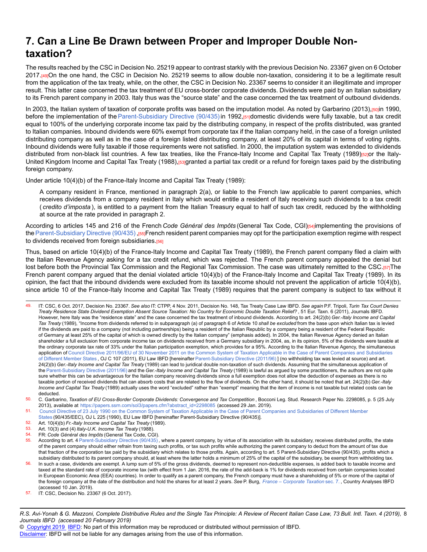### **7. Can a Line Be Drawn between Proper and Improper Double Nontaxation?**

The results reached by the CSC in Decision No. 25219 appear to contrast starkly with the previous Decision No. 23367 given on 6 October 2017.[49]On the one hand, the CSC in Decision No. 25219 seems to allow double non-taxation, considering it to be a legitimate result from the application of the tax treaty, while, on the other, the CSC in Decision No. 23367 seems to consider it an illegitimate and improper result. This latter case concerned the tax treatment of EU cross-border corporate dividends. Dividends were paid by an Italian subsidiary to its French parent company in 2003. Italy thus was the "source state" and the case concerned the tax treatment of outbound dividends.

In 2003, the Italian system of taxation of corporate profits was based on the imputation model. As noted by Garbarino (2013),[50]in 1990, before the implementation of the [Parent-Subsidiary Directive \(90/435\)](http://dev-online.ibfd.org/kbase/#topic=doc&url=/linkresolver/static/tt_e2_79_eng_1990_tt&WT.z_nav=crosslinks&hash=tt_e2_79_eng_1990_tt) in 1992,[51]domestic dividends were fully taxable, but a tax credit equal to 100% of the underlying corporate income tax paid by the distributing company, in respect of the profits distributed, was granted to Italian companies. Inbound dividends were 60% exempt from corporate tax if the Italian company held, in the case of a foreign unlisted distributing company as well as in the case of a foreign listed distributing company, at least 20% of its capital in terms of voting rights. Inbound dividends were fully taxable if those requirements were not satisfied. In 2000, the imputation system was extended to dividends distributed from non-black list countries. A few tax treaties, like the France-Italy Income and Capital Tax Treaty (1989)[52]or the Italy-United Kingdom Income and Capital Tax Treaty (1988),<sup>[53]</sup>granted a partial tax credit or a refund for foreign taxes paid by the distributing foreign company.

Under article 10(4)(b) of the France-Italy Income and Capital Tax Treaty (1989):

A company resident in France, mentioned in paragraph 2(a), or liable to the French law applicable to parent companies, which receives dividends from a company resident in Italy which would entitle a resident of Italy receiving such dividends to a tax credit ( *credito d'imposta* ), is entitled to a payment from the Italian Treasury equal to half of such tax credit, reduced by the withholding at source at the rate provided in paragraph 2.

According to articles 145 and 216 of the French *Code Général des Impôts* (General Tax Code, CGI)[54]implementing the provisions of the Parent-Subsidiary Directive (90/435), [55]French resident parent companies may opt for the participation exemption regime with respect to dividends received from foreign subsidiaries.[56]

Thus, based on article 10(4)(b) of the France-Italy Income and Capital Tax Treaty (1989), the French parent company filed a claim with the Italian Revenue Agency asking for a tax credit refund, which was rejected. The French parent company appealed the denial but lost before both the Provincial Tax Commission and the Regional Tax Commission. The case was ultimately remitted to the CSC.[57]The French parent company argued that the denial violated article 10(4)(b) of the France-Italy Income and Capital Tax Treaty (1989). In its opinion, the fact that the inbound dividends were excluded from its taxable income should not prevent the application of article 10(4)(b), since article 10 of the France-Italy Income and Capital Tax Treaty (1989) requires that the parent company is subject to tax without it

49. IT: CSC, 6 Oct. 2017, Decision No. 23367. *See also* IT: CTPP, 4 Nov. 2011, Decision No. 148, Tax Treaty Case Law IBFD. *See again* P.F. Tripoli, *Turin Tax Court Denies Treaty Residence State Dividend Exemption Absent Source Taxation: No Country for Economic Double Taxation Relief?* , 51 Eur. Taxn. 6 (2011), Journals IBFD. However, here Italy was the "residence state" and the case concerned the tax treatment of inbound dividends. According to art. 24(2)(b) *Ger.-Italy Income and Capital Tax Treaty* (1989), "Income from dividends referred to in subparagraph (a) of paragraph 6 of Article 10 *shall be excluded* from the base upon which Italian tax is levied if the dividends are paid to a company (not including partnerships) being a resident of the Italian Republic by a company being a resident of the Federal Republic of Germany at least 25% of the capital of which is owned directly by the Italian company" (emphasis added). In 2004, the Italian Revenue Agency denied an Italian shareholder a full exclusion from corporate income tax on dividends received from a Germany subsidiary in 2004, as, in its opinion, 5% of the dividends were taxable at the ordinary corporate tax rate of 33% under the Italian participation exemption, which provides for a 95%. According to the Italian Revenue Agency, the simultaneous application of [Council Directive 2011/96/EU of 30 November 2011 on the Common System of Taxation Applicable in the Case of Parent Companies and Subsidiaries](http://dev-online.ibfd.org/kbase/#topic=doc&url=/linkresolver/static/tt_e2_79_eng_2011_tt&WT.z_nav=crosslinks&hash=tt_e2_79_eng_2011_tt) [of Different Member States](http://dev-online.ibfd.org/kbase/#topic=doc&url=/linkresolver/static/tt_e2_79_eng_2011_tt&WT.z_nav=crosslinks&hash=tt_e2_79_eng_2011_tt), OJ C 107 (2011), EU Law IBFD [hereinafter [Parent-Subsidiary Directive \(2011/96\)](http://dev-online.ibfd.org/kbase/#topic=doc&url=/linkresolver/static/tt_e2_79_eng_2011_tt&WT.z_nav=crosslinks&hash=tt_e2_79_eng_2011_tt)] (no withholding tax was levied at source) and art. 24(2)(b) *Ger.-Italy Income and Capital Tax Treaty* (1989) can lead to juridical double non-taxation of such dividends. Assuming that the simultaneous application of the [Parent-Subsidiary Directive \(2011/96\)](http://dev-online.ibfd.org/kbase/#topic=doc&url=/linkresolver/static/tt_e2_79_eng_2011_tt&WT.z_nav=crosslinks&hash=tt_e2_79_eng_2011_tt) and the *Ger.-Italy Income and Capital Tax Treaty* (1989) is lawful as argued by some practitioners, the authors are not quite sure whether this can be advantageous for the Italian company receiving dividends since a full exemption does not allow the deduction of expenses as there is no taxable portion of received dividends that can absorb costs that are related to the flow of dividends. On the other hand, it should be noted that art. 24(2)(b) *Ger.-Italy Income and Capital Tax Treaty* (1989) actually uses the word "excluded" rather than "exempt" meaning that the item of income is not taxable but related costs can be deducted.

[States](http://dev-online.ibfd.org/kbase/#topic=doc&url=/linkresolver/static/tt_e2_79_eng_1990_tt&WT.z_nav=crosslinks&hash=tt_e2_79_eng_1990_tt) (90/435/EEC), OJ L 225 (1990), EU Law IBFD [hereinafter Parent-Subsidiary Directive (90/435)].

- 53. Art. 10(3) and (4) *Italy-U.K. Income Tax Treaty* (1988).
- 54. FR: *Code Général des Impôts* (General Tax Code, CGI).
- According to art. 4 [Parent-Subsidiary Directive \(90/435\)](http://dev-online.ibfd.org/kbase/#topic=doc&url=/linkresolver/static/tt_e2_79_eng_1990_tt&WT.z_nav=crosslinks&hash=tt_e2_79_eng_1990_tt), where a parent company, by virtue of its association with its subsidiary, receives distributed profits, the state of the parent company should either refrain from taxing such profits, or tax such profits while authorizing the parent company to deduct from the amount of tax due that fraction of the corporation tax paid by the subsidiary which relates to those profits. Again, according to art. 5 Parent-Subsidiary Directive (90/435), profits which a subsidiary distributed to its parent company should, at least where the latter holds a minimum of 25% of the capital of the subsidiary, be exempt from withholding tax.
- In such a case, dividends are exempt. A lump sum of 5% of the gross dividends, deemed to represent non-deductible expenses, is added back to taxable income and taxed at the standard rate of corporate income tax (with effect from 1 Jan. 2016, the rate of the add-back is 1% for dividends received from certain companies located in European Economic Area (EEA) countries). In order to qualify as a parent company, the French company must have a shareholding of 5% or more of the capital of the foreign company at the date of the distribution and hold the shares for at least 2 years. *See* P. Burg, *[France – Corporate Taxation](http://dev-online.ibfd.org/kbase/#topic=doc&url=/linkresolver/static/cta_fr_s_007&WT.z_nav=crosslinks&hash=cta_fr_s_007)* sec. 7. , Country Analyses IBFD (accessed 10 Jan. 2019).
- IT: CSC, Decision No. 23367 (6 Oct. 2017).

*R.S. Avi-Yonah & G. Mazzoni, Complete Distributive Rules and the Single Tax Principle: A Review of Recent Italian Case Law, 73 Bull. Intl. Taxn. 4 (2019),* 8 *Journals IBFD (accessed 20 February 2019)*

<sup>50.</sup> C. Garbarino, *Taxation of EU Cross-Border Corporate Dividends: Convergence and Tax Competition* , Bocconi Leg. Stud. Research Paper No. 2298085, p. 5 (25 July 2013), available at [https://papers.ssrn.com/sol3/papers.cfm?abstract\\_id=2298085](https://papers.ssrn.com/sol3/papers.cfm?abstract_id=2298085) (accessed 29 Jan. 2019).

<sup>51.</sup> [Council Directive of 23 July 1990 on the Common System of Taxation Applicable in the Case of Parent Companies and Subsidiaries of Different Member](http://dev-online.ibfd.org/kbase/#topic=doc&url=/linkresolver/static/tt_e2_79_eng_1990_tt&WT.z_nav=crosslinks&hash=tt_e2_79_eng_1990_tt)

<sup>52.</sup> Art. 10(4)(b) *Fr.-Italy Income and Capital Tax Treaty* (1989).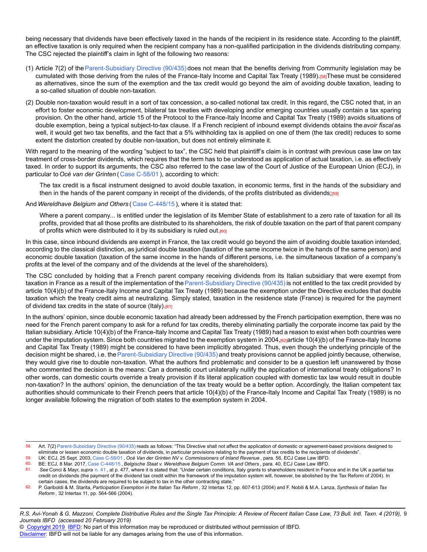being necessary that dividends have been effectively taxed in the hands of the recipient in its residence state. According to the plaintiff, an effective taxation is only required when the recipient company has a non-qualified participation in the dividends distributing company. The CSC rejected the plaintiff's claim in light of the following two reasons:

- (1) Article 7(2) of th[eParent-Subsidiary Directive \(90/435\)](http://dev-online.ibfd.org/kbase/#topic=doc&url=/linkresolver/static/tt_e2_79_eng_1990_tt&WT.z_nav=crosslinks&hash=tt_e2_79_eng_1990_tt) does not mean that the benefits deriving from Community legislation may be cumulated with those deriving from the rules of the France-Italy Income and Capital Tax Treaty (1989).[58]These must be considered as alternatives, since the sum of the exemption and the tax credit would go beyond the aim of avoiding double taxation, leading to a so-called situation of double non-taxation.
- (2) Double non-taxation would result in a sort of tax concession, a so-called notional tax credit. In this regard, the CSC noted that, in an effort to foster economic development, bilateral tax treaties with developing and/or emerging countries usually contain a tax sparing provision. On the other hand, article 15 of the Protocol to the France-Italy Income and Capital Tax Treaty (1989) avoids situations of double exemption, being a typical subject-to-tax clause. If a French recipient of inbound exempt dividends obtains the *avoir fiscal* as well, it would get two tax benefits, and the fact that a 5% withholding tax is applied on one of them (the tax credit) reduces to some extent the distortion created by double non-taxation, but does not entirely eliminate it.

With regard to the meaning of the wording "subject to tax", the CSC held that plaintiff's claim is in contrast with previous case law on tax treatment of cross-border dividends, which requires that the term has to be understood as application of actual taxation, i.e. as effectively taxed. In order to support its arguments, the CSC also referred to the case law of the Court of Justice of the European Union (ECJ), in particular to *Océ van der Grinten* ( [Case C-58/01](http://dev-online.ibfd.org/kbase/#topic=doc&url=/linkresolver/static/ecj_c_58_01&WT.z_nav=crosslinks&hash=ecj_c_58_01) ), according to which:

The tax credit is a fiscal instrument designed to avoid double taxation, in economic terms, first in the hands of the subsidiary and then in the hands of the parent company in receipt of the dividends, of the profits distributed as dividends;[59]

And *Wereldhave Belgium and Others* ( [Case C-448/15](http://dev-online.ibfd.org/kbase/#topic=doc&url=/linkresolver/static/ecj_c_448_15&WT.z_nav=crosslinks&hash=ecj_c_448_15) ), where it is stated that:

Where a parent company... is entitled under the legislation of its Member State of establishment to a zero rate of taxation for all its profits, provided that all those profits are distributed to its shareholders, the risk of double taxation on the part of that parent company of profits which were distributed to it by its subsidiary is ruled out.<sup>[60]</sup>

In this case, since inbound dividends are exempt in France, the tax credit would go beyond the aim of avoiding double taxation intended, according to the classical distinction, as juridical double taxation (taxation of the same income twice in the hands of the same person) and economic double taxation (taxation of the same income in the hands of different persons, i.e. the simultaneous taxation of a company's profits at the level of the company and of the dividends at the level of the shareholders).

The CSC concluded by holding that a French parent company receiving dividends from its Italian subsidiary that were exempt from taxation in France as a result of the implementation of the [Parent-Subsidiary Directive \(90/435\)](http://dev-online.ibfd.org/kbase/#topic=doc&url=/linkresolver/static/tt_e2_79_eng_1990_tt&WT.z_nav=crosslinks&hash=tt_e2_79_eng_1990_tt) is not entitled to the tax credit provided by article 10(4)(b) of the France-Italy Income and Capital Tax Treaty (1989) because the exemption under the Directive excludes that double taxation which the treaty credit aims at neutralizing. Simply stated, taxation in the residence state (France) is required for the payment of dividend tax credits in the state of source (Italy).<sup>[61]</sup>

In the authors' opinion, since double economic taxation had already been addressed by the French participation exemption, there was no need for the French parent company to ask for a refund for tax credits, thereby eliminating partially the corporate income tax paid by the Italian subsidiary. Article 10(4)(b) of the France-Italy Income and Capital Tax Treaty (1989) had a reason to exist when both countries were under the imputation system. Since both countries migrated to the exemption system in 2004,  $62$  article 10(4)(b) of the France-Italy Income and Capital Tax Treaty (1989) might be considered to have been implicitly abrogated. Thus, even though the underlying principle of the decision might be shared, i.e. the [Parent-Subsidiary Directive \(90/435\)](http://dev-online.ibfd.org/kbase/#topic=doc&url=/linkresolver/static/tt_e2_79_eng_1990_tt&WT.z_nav=crosslinks&hash=tt_e2_79_eng_1990_tt) and treaty provisions cannot be applied jointly because, otherwise, they would give rise to double non-taxation. What the authors find problematic and consider to be a question left unanswered by those who commented the decision is the means: Can a domestic court unilaterally nullify the application of international treaty obligations? In other words, can domestic courts override a treaty provision if its literal application coupled with domestic tax law would result in double non-taxation? In the authors' opinion, the denunciation of the tax treaty would be a better option. Accordingly, the Italian competent tax authorities should communicate to their French peers that article 10(4)(b) of the France-Italy Income and Capital Tax Treaty (1989) is no longer available following the migration of both states to the exemption system in 2004.

#### *R.S. Avi-Yonah & G. Mazzoni, Complete Distributive Rules and the Single Tax Principle: A Review of Recent Italian Case Law, 73 Bull. Intl. Taxn. 4 (2019),* 9 *Journals IBFD (accessed 20 February 2019)*

© [Copyright 2019](http://www.ibfd.org/Copyright-IBFD) [IBFD:](http://www.ibfd.org) No part of this information may be reproduced or distributed without permission of IBFD.

<sup>58.</sup> Art. 7(2) [Parent-Subsidiary Directive \(90/435\)](http://dev-online.ibfd.org/kbase/#topic=doc&url=/linkresolver/static/tt_e2_79_eng_1990_tt&WT.z_nav=crosslinks&hash=tt_e2_79_eng_1990_tt) reads as follows: "This Directive shall not affect the application of domestic or agreement-based provisions designed to eliminate or lessen economic double taxation of dividends, in particular provisions relating to the payment of tax credits to the recipients of dividends".

<sup>59.</sup> UK: ECJ, 25 Sept. 2003, [Case C-58/01](http://dev-online.ibfd.org/kbase/#topic=doc&url=/linkresolver/static/ecj_c_58_01&WT.z_nav=crosslinks&hash=ecj_c_58_01) , *Océ Van der Grinten NV v. Commissioners of Inland Revenue* , para. 56, ECJ Case Law IBFD.

<sup>60.</sup> BE: ECJ, 8 Mar. 2017, [Case C-448/15](http://dev-online.ibfd.org/kbase/#topic=doc&url=/linkresolver/static/ecj_c_448_15&WT.z_nav=crosslinks&hash=ecj_c_448_15) , *Belgische Staat v. Wereldhave Belgium Comm. VA and Others* , para. 40, ECJ Case Law IBFD.

See Conci & Mayr, *supra* [n. 41](http://dev-online.ibfd.org/kbase/#topic=doc&url=/linkresolver/static/bit_2019_04_it_1_fn_41&WT.z_nav=crosslinks&hash=bit_2019_04_it_1_fn_41), at p. 477, where it is stated that: "Under certain conditions, Italy grants to shareholders resident in France and in the UK a partial tax credit on dividends (the payment of the dividend tax credit within the framework of the imputation system will, however, be abolished by the Tax Reform of 2004). In certain cases, the dividends are required to be subject to tax in the other contracting state."

<sup>62.</sup> P. Gariboldi & M. Starita, *Participation Exemption in the Italian Tax Reform* , 32 Intertax 12, pp. 607-613 (2004) and F. Nobili & M.A. Lanza, *Synthesis of Italian Tax Reform* , 32 Intertax 11, pp. 564-566 (2004).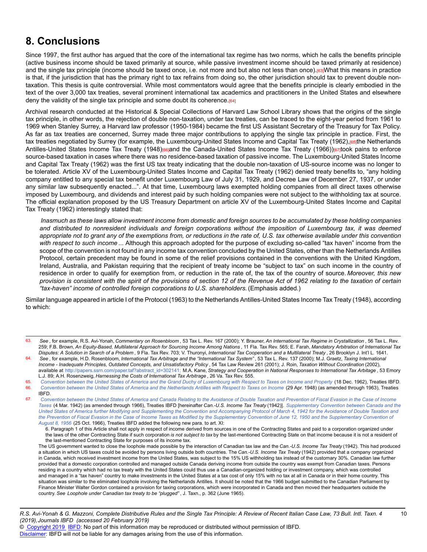### **8. Conclusions**

Since 1997, the first author has argued that the core of the international tax regime has two norms, which he calls the benefits principle (active business income should be taxed primarily at source, while passive investment income should be taxed primarily at residence) and the single tax principle (income should be taxed once, i.e. not more and but also not less than once).[63]What this means in practice is that, if the jurisdiction that has the primary right to tax refrains from doing so, the other jurisdiction should tax to prevent double nontaxation. This thesis is quite controversial. While most commentators would agree that the benefits principle is clearly embodied in the text of the over 3,000 tax treaties, several prominent international tax academics and practitioners in the United States and elsewhere deny the validity of the single tax principle and some doubt its coherence.<sup>[64]</sup>

Archival research conducted at the Historical & Special Collections of Harvard Law School Library shows that the origins of the single tax principle, in other words, the rejection of double non-taxation, under tax treaties, can be traced to the eight-year period from 1961 to 1969 when Stanley Surrey, a Harvard law professor (1950-1984) became the first US Assistant Secretary of the Treasury for Tax Policy. As far as tax treaties are concerned, Surrey made three major contributions to applying the single tax principle in practice. First, the tax treaties negotiated by Surrey (for example, the Luxembourg-United States Income and Capital Tax Treaty (1962),[65]the Netherlands Antilles-United States Income Tax Treaty (1948)<sup>[66]</sup>and the Canada-United States Income Tax Treaty (1966))<sup>[67]</sup>took pains to enforce source-based taxation in cases where there was no residence-based taxation of passive income. The Luxembourg-United States Income and Capital Tax Treaty (1962) was the first US tax treaty indicating that the double non-taxation of US-source income was no longer to be tolerated. Article XV of the Luxembourg-United States Income and Capital Tax Treaty (1962) denied treaty benefits to, "any holding company entitled to any special tax benefit under Luxembourg Law of July 31, 1929, and Decree Law of December 27, 1937, or under any similar law subsequently enacted...". At that time, Luxembourg laws exempted holding companies from all direct taxes otherwise imposed by Luxembourg, and dividends and interest paid by such holding companies were not subject to the withholding tax at source. The official explanation proposed by the US Treasury Department on article XV of the Luxembourg-United States Income and Capital Tax Treaty (1962) interestingly stated that:

*Inasmuch as these laws allow investment income from domestic and foreign sources to be accumulated by these holding companies and distributed to nonresident individuals and foreign corporations without the imposition of Luxembourg tax, it was deemed appropriate not to grant any of the exemptions from, or reductions in the rate of, U.S. tax otherwise available under this convention with respect to such income* ... Although this approach adopted for the purpose of excluding so-called "tax haven" income from the scope of the convention is not found in any income tax convention concluded by the United States, other than the Netherlands Antilles Protocol, certain precedent may be found in some of the relief provisions contained in the conventions with the United Kingdom, Ireland, Australia, and Pakistan requiring that the recipient of treaty income be "subject to tax" on such income in the country of residence in order to qualify for exemption from, or reduction in the rate of, the tax of the country of source. *Moreover, this new provision is consistent with the spirit of the provisions of section 12 of the Revenue Act of 1962 relating to the taxation of certain "tax-haven" income of controlled foreign corporations to U.S. shareholders.* (Emphasis added.)

Similar language appeared in article I of the Protocol (1963) to the Netherlands Antilles-United States Income Tax Treaty (1948), according to which:

<sup>63.</sup> *See* , for example, R.S. Avi-Yonah, *Commentary on Rosenbloom* , 53 Tax L. Rev. 167 (2000); Y. Brauner, *An International Tax Regime in Crystallization* , 56 Tax L. Rev. 259; F.B. Brown, *An Equity-Based, Multilateral Approach for Sourcing Income Among Nations* , 11 Fla. Tax Rev. 565; E. Farah, *Mandatory Arbitration of International Tax Disputes: A Solution in Search of a Problem* , 9 Fla. Tax Rev. 703; V. Thuronyi, *International Tax Cooperation and a Multilateral Treaty* , 26 Brooklyn J. Int'l L. 1641.

<sup>64.</sup> *See* , for example, H.D. Rosenbloom, *International Tax Arbitrage and the "International Tax System"* , 53 Tax L. Rev. 137 (2000); M.J. Graetz, *Taxing International Income - Inadequate Principles, Outdated Concepts, and Unsatisfactory Policy* , 54 Tax Law Review 261 (2001); J. Roin, *Taxation Without Coordination* (2002), available at [http://papers.ssrn.com/paper.taf?abstract\\_id=302141](http://papers.ssrn.com/paper.taf?abstract_id=302141;); M.A. Kane, *Strategy and Cooperation in National Responses to International Tax Arbitage* , 53 Emory

L.J. 89; A.H. Rosenzweig, *Harnessing the Costs of International Tax Arbitrage* , 26 Va. Tax Rev. 555.

<sup>65.</sup> *[Convention between the United States of America and the Grand Duchy of Luxembourg with Respect to Taxes on Income and Property](http://dev-online.ibfd.org/kbase/#topic=doc&url=/linkresolver/static/tt_lu-us_02_eng_1962_tt__td1&WT.z_nav=crosslinks&hash=tt_lu-us_02_eng_1962_tt__td1)* (18 Dec. 1962), Treaties IBFD. 66. [Convention between the United States of America and the Netherlands Antilles with Respect to Taxes on Income](http://dev-online.ibfd.org/kbase/#topic=doc&url=/linkresolver/static/tt_an-us_01_eng_1948_tt__td1&WT.z_nav=crosslinks&hash=tt_an-us_01_eng_1948_tt__td1) (29 Apr. 1948) (as amended through 1963), Treaties

IBFD. 67. *[Convention between the United States of America and Canada Relating to the Avoidance of Double Taxation and Prevention of Fiscal Evasion in the Case of Income](http://dev-online.ibfd.org/kbase/#topic=doc&url=/linkresolver/static/tt_ca-us_01_eng_1942_tt__td1&WT.z_nav=crosslinks&hash=tt_ca-us_01_eng_1942_tt__td1)*

*[Taxes](http://dev-online.ibfd.org/kbase/#topic=doc&url=/linkresolver/static/tt_ca-us_01_eng_1942_tt__td1&WT.z_nav=crosslinks&hash=tt_ca-us_01_eng_1942_tt__td1)* (4 Mar. 1942) (as amended through 1966), Treaties IBFD [hereinafter *Can.-U.S. Income Tax Treaty* (1942)]. *[Supplementary Convention between Canada and the](http://dev-online.ibfd.org/kbase/#topic=doc&url=/linkresolver/static/tt_ca-us_01_eng_1942_tt__ad5&WT.z_nav=crosslinks&hash=tt_ca-us_01_eng_1942_tt__ad5) [United States of America further Modifying and Supplementing the Convention and Accompanying Protocol of March 4, 1942 for the Avoidance of Double Taxation and](http://dev-online.ibfd.org/kbase/#topic=doc&url=/linkresolver/static/tt_ca-us_01_eng_1942_tt__ad5&WT.z_nav=crosslinks&hash=tt_ca-us_01_eng_1942_tt__ad5) [the Prevention of Fiscal Evasion in the Case of Income Taxes as Modified by the Supplementary Convention of June 12, 1950 and the Supplementary Convention of](http://dev-online.ibfd.org/kbase/#topic=doc&url=/linkresolver/static/tt_ca-us_01_eng_1942_tt__ad5&WT.z_nav=crosslinks&hash=tt_ca-us_01_eng_1942_tt__ad5) [August 8, 1956](http://dev-online.ibfd.org/kbase/#topic=doc&url=/linkresolver/static/tt_ca-us_01_eng_1942_tt__ad5&WT.z_nav=crosslinks&hash=tt_ca-us_01_eng_1942_tt__ad5)* (25 Oct. 1966), Treaties IBFD added the following new para. to art. XI:

<sup>6.</sup> Paragraph 1 of this Article shall not apply in respect of income derived from sources in one of the Contracting States and paid to a corporation organized under the laws of the other Contracting State if such corporation *is not subject to tax* by the last-mentioned Contracting State on that income because it is not a resident of the last-mentioned Contracting State for purposes of its income tax.

The US government wanted to close the loophole made possible by the interaction of Canadian tax law and the *Can.-U.S. Income Tax Treaty* (1942). This had produced a situation in which US taxes could be avoided by persons living outside both countries. The *Can.-U.S. Income Tax Treaty* (1942) provided that a company organized in Canada, which received investment income from the United States, was subject to the 15% US withholding tax instead of the customary 30%. Canadian law further provided that a domestic corporation controlled and managed outside Canada deriving income from outside the country was exempt from Canadian taxes. Persons residing in a country which had no tax treaty with the United States could thus use a Canadian-organized holding or investment company, which was controlled and managed in a "tax haven" country to make investments in the United States at a tax cost of only 15% with no tax at all in Canada or in their home country. This situation was similar to the eliminated loophole involving the Netherlands Antilles. It should be noted that the 1966 budget submitted to the Canadian Parliament by Finance Minister Walter Gordon contained a provision for taxing corporations, which were incorporated in Canada and then moved their headquarters outside the country. *See Loophole under Canadian tax treaty to be "plugged"* , J. Taxn., p. 362 (June 1965).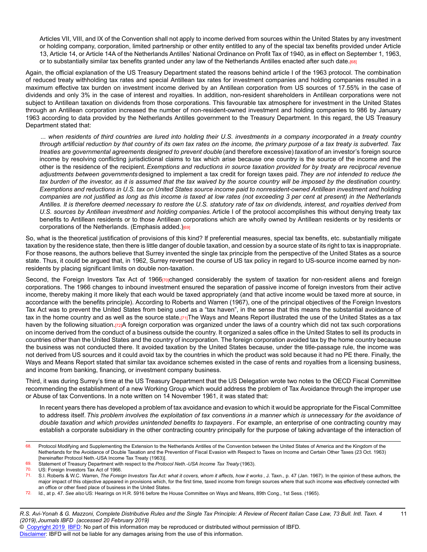Articles VII, VIII, and IX of the Convention shall not apply to income derived from sources within the United States by any investment or holding company, corporation, limited partnership or other entity entitled to any of the special tax benefits provided under Article 13, Article 14, or Article 14A of the Netherlands Antilles' National Ordinance on Profit Tax of 1940, as in effect on September 1, 1963, or to substantially similar tax benefits granted under any law of the Netherlands Antilles enacted after such date.[68]

Again, the official explanation of the US Treasury Department stated the reasons behind article I of the 1963 protocol. The combination of reduced treaty withholding tax rates and special Antillean tax rates for investment companies and holding companies resulted in a maximum effective tax burden on investment income derived by an Antillean corporation from US sources of 17.55% in the case of dividends and only 3% in the case of interest and royalties. In addition, non-resident shareholders in Antillean corporations were not subject to Antillean taxation on dividends from those corporations. This favourable tax atmosphere for investment in the United States through an Antillean corporation increased the number of non-resident-owned investment and holding companies to 986 by January 1963 according to data provided by the Netherlands Antilles government to the Treasury Department. In this regard, the US Treasury Department stated that:

*... when residents of third countries are lured into holding their U.S. investments in a company incorporated in a treaty country through artificial reduction by that country of its own tax rates on the income, the primary purpose of a tax treaty is subverted. Tax treaties are governmental agreements designed to prevent double* (and therefore excessive) *taxation* of an investor's foreign source income by resolving conflicting jurisdictional claims to tax which arise because one country is the source of the income and the other is the residence of the recipient. *Exemptions and reductions in source taxation provided for by treaty are reciprocal revenue adjustments between governments* designed to implement a tax credit for foreign taxes paid. *They are not intended to reduce the tax burden of the investor, as it is assumed that the tax waived by the source country will be imposed by the destination country. Exemptions and reductions in U.S. tax on United States source income paid to nonresident-owned Antillean investment and holding companies are not justified as long as this income is taxed at low rates (not exceeding 3 per cent at present) in the Netherlands Antilles. It is therefore deemed necessary to restore the U.S. statutory rate of tax on dividends, interest, and royalties derived from U.S. sources by Antillean investment and holding companies.* Article I of the protocol accomplishes this without denying treaty tax benefits to Antillean residents or to those Antillean corporations which are wholly owned by Antillean residents or by residents or corporations of the Netherlands. (Emphasis added.)<sup>[69]</sup>

So, what is the theoretical justification of provisions of this kind? If preferential measures, special tax benefits, etc. substantially mitigate taxation by the residence state, then there is little danger of double taxation, and cession by a source state of its right to tax is inappropriate. For those reasons, the authors believe that Surrey invented the single tax principle from the perspective of the United States as a source state. Thus, it could be argued that, in 1962, Surrey reversed the course of US tax policy in regard to US-source income earned by nonresidents by placing significant limits on double non-taxation.

Second, the Foreign Investors Tax Act of 1966<sub>[70]</sub>changed considerably the system of taxation for non-resident aliens and foreign corporations. The 1966 changes to inbound investment ensured the separation of passive income of foreign investors from their active income, thereby making it more likely that each would be taxed appropriately (and that active income would be taxed more at source, in accordance with the benefits principle). According to Roberts and Warren (1967), one of the principal objectives of the Foreign Investors Tax Act was to prevent the United States from being used as a "tax haven", in the sense that this means the substantial avoidance of tax in the home country and as well as the source state.[71]The Ways and Means Report illustrated the use of the United States as a tax haven by the following situation.[72]A foreign corporation was organized under the laws of a country which did not tax such corporations on income derived from the conduct of a business outside the country. It organized a sales office in the United States to sell its products in countries other than the United States and the country of incorporation. The foreign corporation avoided tax by the home country because the business was not conducted there. It avoided taxation by the United States because, under the title-passage rule, the income was not derived from US sources and it could avoid tax by the countries in which the product was sold because it had no PE there. Finally, the Ways and Means Report stated that similar tax avoidance schemes existed in the case of rents and royalties from a licensing business, and income from banking, financing, or investment company business.

Third, it was during Surrey's time at the US Treasury Department that the US Delegation wrote two notes to the OECD Fiscal Committee recommending the establishment of a new Working Group which would address the problem of Tax Avoidance through the improper use or Abuse of tax Conventions. In a note written on 14 November 1961, it was stated that:

In recent years there has developed a problem of tax avoidance and evasion to which it would be appropriate for the Fiscal Committee to address itself. *This problem involves the exploitation of tax conventions in a manner which is unnecessary for the avoidance of double taxation and which provides unintended benefits to taxpayers* . For example, an enterprise of one contracting country may establish a corporate subsidiary in the other contracting country principally for the purpose of taking advantage of the interaction of

*R.S. Avi-Yonah & G. Mazzoni, Complete Distributive Rules and the Single Tax Principle: A Review of Recent Italian Case Law, 73 Bull. Intl. Taxn. 4* 11 *(2019),Journals IBFD (accessed 20 February 2019)*

© [Copyright 2019](http://www.ibfd.org/Copyright-IBFD) [IBFD:](http://www.ibfd.org) No part of this information may be reproduced or distributed without permission of IBFD.

<sup>68.</sup> Protocol Modifying and Supplementing the Extension to the Netherlands Antilles of the Convention between the United States of America and the Kingdom of the Netherlands for the Avoidance of Double Taxation and the Prevention of Fiscal Evasion with Respect to Taxes on Income and Certain Other Taxes (23 Oct. 1963) [hereinafter Protocol Neth.-USA Income Tax Treaty (1963)].

<sup>69.</sup> Statement of Treasury Department with respect to the *Protocol Neth.-USA Income Tax Treaty* (1963).

US: Foreign Investors Tax Act of 1966.

<sup>71.</sup> S.I. Roberts & W.C. Warren, *The Foreign Investors Tax Act: what it covers, whom it affects, how it works* , J. Taxn., p. 47 (Jan. 1967). In the opinion of these authors, the major impact of this objective appeared in provisions which, for the first time, taxed income from foreign sources where that such income was effectively connected with an office or other fixed place of business in the United States.

<sup>72.</sup> Id., at p. 47. *See also* US: Hearings on H.R. 5916 before the House Committee on Ways and Means, 89th Cong., 1st Sess. (1965).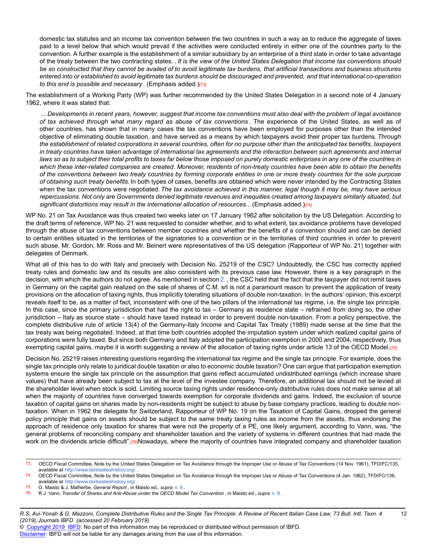domestic tax statutes and an income tax convention between the two countries in such a way as to reduce the aggregate of taxes paid to a level below that which would prevail if the activities were conducted entirely in either one of the countries party to the convention. A further example is the establishment of a similar subsidiary by an enterprise of a third state in order to take advantage of the treaty between the two contracting states... *It is the view of the United States Delegation that income tax conventions should be so constructed that they cannot be availed of to avoid legitimate tax burdens, that artificial transactions and business structures entered into or established to avoid legitimate tax burdens should be discouraged and prevented, and that international co-operation to this end is possible and necessary* . (Emphasis added.)[73]

The establishment of a Working Party (WP) was further recommended by the United States Delegation in a second note of 4 January 1962, where it was stated that:

*... Developments in recent years, however, suggest that income tax conventions must also deal with the problem of legal avoidance of tax achieved through what many regard as abuse of tax conventions* . The experience of the United States, as well as of other countries, has shown that in many cases the tax conventions have been employed for purposes other than the intended objective of eliminating double taxation, and have served as a means by which taxpayers avoid their proper tax burdens. *Through the establishment of related corporations in several countries, often for no purpose other than the anticipated tax benefits, taxpayers in treaty countries have taken advantage of international tax agreements and the interaction between such agreements and internal laws so as to subject their total profits to taxes far below those imposed on purely domestic enterprises in any one of the countries in which these inter-related companies are created. Moreover, residents of non-treaty countries have been able to obtain the benefits of the conventions between two treaty countries by forming corporate entities in one or more treaty countries for the sole purpose of obtaining such treaty benefits.* In both types of cases, benefits are obtained which were never intended by the Contracting States when the tax conventions were negotiated. *The tax avoidance achieved in this manner, legal though it may be, may have serious repercussions. Not only are Governments denied legitimate revenues and inequities created among taxpayers similarly situated, but* significant distortions may result in the international allocation of resources... (Emphasis added.)<sup>[74]</sup>

WP No. 21 on Tax Avoidance was thus created two weeks later on 17 January 1962 after solicitation by the US Delegation. According to the draft terms of reference, WP No. 21 was requested to consider whether, and to what extent, tax avoidance problems have developed through the abuse of tax conventions between member countries and whether the benefits of a convention should and can be denied to certain entities situated in the territories of the signatories to a convention or in the territories of third countries in order to prevent such abuse. Mr. Gordon, Mr. Ross and Mr. Beinert were representatives of the US delegation (Rapporteur of WP No. 21) together with delegates of Denmark.

What all of this has to do with Italy and precisely with Decision No. 25219 of the CSC? Undoubtedly, the CSC has correctly applied treaty rules and domestic law and its results are also consistent with its previous case law. However, there is a key paragraph in the decision, with which the authors do not agree. As mentioned in section [2.](http://dev-online.ibfd.org/kbase/#topic=doc&url=/linkresolver/static/bit_2019_04_it_1_s_2&WT.z_nav=crosslinks&hash=bit_2019_04_it_1_s_2) , the CSC held that the fact that the taxpayer did not remit taxes in Germany on the capital gain realized on the sale of shares of C.M. srl is not a paramount reason to prevent the application of treaty provisions on the allocation of taxing rights, thus implicitly tolerating situations of double non-taxation. In the authors' opinion, this excerpt reveals itself to be, as a matter of fact, inconsistent with one of the two pillars of the international tax regime, i.e. the single tax principle. In this case, since the primary jurisdiction that had the right to tax – Germany as residence state – refrained from doing so, the other jurisdiction – Italy as source state – should have taxed instead in order to prevent double non-taxation. From a policy perspective, the complete distributive rule of article 13(4) of the Germany-Italy Income and Capital Tax Treaty (1989) made sense at the time that the tax treaty was being negotiated. Indeed, at that time both countries adopted the imputation system under which realized capital gains of corporations were fully taxed. But since both Germany and Italy adopted the participation exemption in 2000 and 2004, respectively, thus exempting capital gains, maybe it is worth suggesting a review of the allocation of taxing rights under article 13 of the OECD Model.[75]

Decision No. 25219 raises interesting questions regarding the international tax regime and the single tax principle. For example, does the single tax principle only relate to juridical double taxation or also to economic double taxation? One can argue that participation exemption systems ensure the single tax principle on the assumption that gains reflect accumulated undistributed earnings (which increase share values) that have already been subject to tax at the level of the investee company. Therefore, an additional tax should not be levied at the shareholder level when stock is sold. Limiting source taxing rights under residence-only distributive rules does not make sense at all when the majority of countries have converged towards exemption for corporate dividends and gains. Indeed, the exclusion of source taxation of capital gains on shares made by non-residents might be subject to abuse by base company practices, leading to double nontaxation. When in 1962 the delegate for Switzerland, Rapporteur of WP No. 19 on the Taxation of Capital Gains, dropped the general policy principle that gains on assets should be subject to the same treaty taxing rules as income from the assets, thus endorsing the approach of residence only taxation for shares that were not the property of a PE, one likely argument, according to Vann, was, "the general problems of reconciling company and shareholder taxation and the variety of systems in different countries that had made the work on the dividends article difficult".[76]Nowadays, where the majority of countries have integrated company and shareholder taxation

75. G. Maisto & J. Malherbe, *General Report* , in Maisto ed., *supra* [n. 8](http://dev-online.ibfd.org/kbase/#topic=doc&url=/linkresolver/static/bit_2019_04_it_1_fn_8&WT.z_nav=crosslinks&hash=bit_2019_04_it_1_fn_8) .

<sup>73.</sup> OECD Fiscal Committee, Note by the United States Delegation on Tax Avoidance through the Improper Use or Abuse of Tax Conventions (14 Nov. 1961), TFD/FC/135, available at [http://www.taxtreatieshistory.org](http://www.taxtreatieshistory.org/)/ .

<sup>74.</sup> OECD Fiscal Committee, Note by the United States Delegation on Tax Avoidance through the Improper Use or Abuse of Tax Conventions (4 Jan. 1962), TFD/FC/136, available at [http://www.taxtreatieshistory.org](http://www.taxtreatieshistory.org/)/

<sup>76.</sup> R.J. Vann, *Transfer of Shares and Anti-Abuse under the OECD Model Tax Convention* , in Maisto ed., *supra* [n. 8](http://dev-online.ibfd.org/kbase/#topic=doc&url=/linkresolver/static/bit_2019_04_it_1_fn_8&WT.z_nav=crosslinks&hash=bit_2019_04_it_1_fn_8) .

*R.S. Avi-Yonah & G. Mazzoni, Complete Distributive Rules and the Single Tax Principle: A Review of Recent Italian Case Law, 73 Bull. Intl. Taxn. 4* 12 *(2019),Journals IBFD (accessed 20 February 2019)*